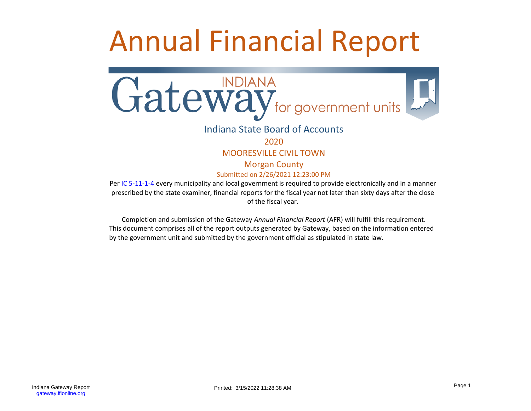# Annual Financial Report



# Indiana State Board of Accounts

2020

# MOORESVILLE CIVIL TOWN

Morgan County Submitted on 2/26/2021 12:23:00 PM

Per [IC 5-11-1-4](http://www.in.gov/legislative/ic/code/title5/ar11/ch1.html#IC5-11-1-4) every municipality and local government is required to provide electronically and in a manner prescribed by the state examiner, financial reports for the fiscal year not later than sixty days after the close of the fiscal year.

Completion and submission of the Gateway *Annual Financial Report* (AFR) will fulfill this requirement. This document comprises all of the report outputs generated by Gateway, based on the information entered by the government unit and submitted by the government official as stipulated in state law.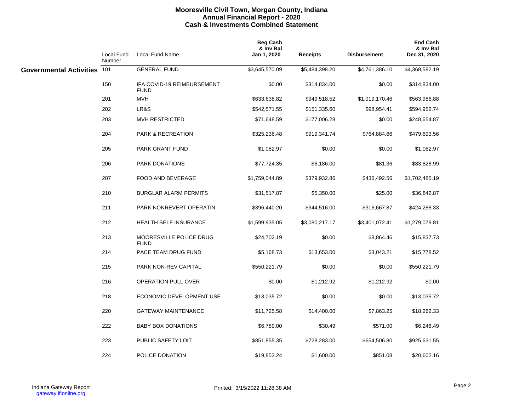# **Mooresville Civil Town, Morgan County, Indiana Annual Financial Report - 2020 Cash & Investments Combined Statement**

|                                | <b>Local Fund</b><br>Number | <b>Local Fund Name</b>                    | <b>Beg Cash</b><br>& Inv Bal<br>Jan 1, 2020 | <b>Receipts</b> | <b>Disbursement</b> | <b>End Cash</b><br>& Inv Bal<br>Dec 31, 2020 |
|--------------------------------|-----------------------------|-------------------------------------------|---------------------------------------------|-----------------|---------------------|----------------------------------------------|
| <b>Governmental Activities</b> | 101                         | <b>GENERAL FUND</b>                       | \$3,645,570.09                              | \$5,484,398.20  | \$4,761,386.10      | \$4,368,582.19                               |
|                                | 150                         | IFA COVID-19 REIMBURSEMENT<br><b>FUND</b> | \$0.00                                      | \$314,834.00    | \$0.00              | \$314,834.00                                 |
|                                | 201                         | <b>MVH</b>                                | \$633,638.82                                | \$949,518.52    | \$1,019,170.46      | \$563,986.88                                 |
|                                | 202                         | LR&S                                      | \$542,571.55                                | \$151,335.60    | \$98,954.41         | \$594,952.74                                 |
|                                | 203                         | <b>MVH RESTRICTED</b>                     | \$71,648.59                                 | \$177,006.28    | \$0.00              | \$248,654.87                                 |
|                                | 204                         | <b>PARK &amp; RECREATION</b>              | \$325,236.48                                | \$919,341.74    | \$764,884.66        | \$479,693.56                                 |
|                                | 205                         | PARK GRANT FUND                           | \$1,082.97                                  | \$0.00          | \$0.00              | \$1,082.97                                   |
|                                | 206                         | PARK DONATIONS                            | \$77,724.35                                 | \$6,186.00      | \$81.36             | \$83,828.99                                  |
|                                | 207                         | FOOD AND BEVERAGE                         | \$1,759,044.89                              | \$379,932.86    | \$436,492.56        | \$1,702,485.19                               |
|                                | 210                         | <b>BURGLAR ALARM PERMITS</b>              | \$31,517.87                                 | \$5,350.00      | \$25.00             | \$36,842.87                                  |
|                                | 211                         | PARK NONREVERT OPERATIN                   | \$396,440.20                                | \$344,516.00    | \$316,667.87        | \$424,288.33                                 |
|                                | 212                         | <b>HEALTH SELF INSURANCE</b>              | \$1,599,935.05                              | \$3,080,217.17  | \$3,401,072.41      | \$1,279,079.81                               |
|                                | 213                         | MOORESVILLE POLICE DRUG<br><b>FUND</b>    | \$24,702.19                                 | \$0.00          | \$8,864.46          | \$15,837.73                                  |
|                                | 214                         | PACE TEAM DRUG FUND                       | \$5,168.73                                  | \$13,653.00     | \$3,043.21          | \$15,778.52                                  |
|                                | 215                         | PARK NON-REV CAPITAL                      | \$550,221.79                                | \$0.00          | \$0.00              | \$550,221.79                                 |
|                                | 216                         | <b>OPERATION PULL OVER</b>                | \$0.00                                      | \$1,212.92      | \$1,212.92          | \$0.00                                       |
|                                | 218                         | ECONOMIC DEVELOPMENT USE                  | \$13,035.72                                 | \$0.00          | \$0.00              | \$13,035.72                                  |
|                                | 220                         | <b>GATEWAY MAINTENANCE</b>                | \$11,725.58                                 | \$14,400.00     | \$7,863.25          | \$18,262.33                                  |
|                                | 222                         | <b>BABY BOX DONATIONS</b>                 | \$6,789.00                                  | \$30.49         | \$571.00            | \$6,248.49                                   |
|                                | 223                         | PUBLIC SAFETY LOIT                        | \$851,855.35                                | \$728,283.00    | \$654,506.80        | \$925,631.55                                 |
|                                | 224                         | POLICE DONATION                           | \$19,853.24                                 | \$1,600.00      | \$851.08            | \$20,602.16                                  |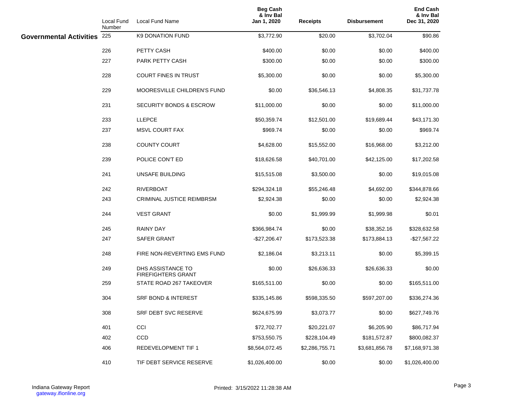|                             | Local Fund<br>Number | Local Fund Name                                | <b>Beg Cash</b><br>& Inv Bal<br>Jan 1, 2020 | <b>Receipts</b> | <b>Disbursement</b> | <b>End Cash</b><br>& Inv Bal<br>Dec 31, 2020 |
|-----------------------------|----------------------|------------------------------------------------|---------------------------------------------|-----------------|---------------------|----------------------------------------------|
| Governmental Activities 225 |                      | <b>K9 DONATION FUND</b>                        | \$3,772.90                                  | \$20.00         | \$3,702.04          | \$90.86                                      |
|                             | 226                  | PETTY CASH                                     | \$400.00                                    | \$0.00          | \$0.00              | \$400.00                                     |
|                             | 227                  | PARK PETTY CASH                                | \$300.00                                    | \$0.00          | \$0.00              | \$300.00                                     |
|                             | 228                  | <b>COURT FINES IN TRUST</b>                    | \$5,300.00                                  | \$0.00          | \$0.00              | \$5,300.00                                   |
|                             | 229                  | <b>MOORESVILLE CHILDREN'S FUND</b>             | \$0.00                                      | \$36,546.13     | \$4,808.35          | \$31,737.78                                  |
|                             | 231                  | SECURITY BONDS & ESCROW                        | \$11,000.00                                 | \$0.00          | \$0.00              | \$11,000.00                                  |
|                             | 233                  | <b>LLEPCE</b>                                  | \$50,359.74                                 | \$12,501.00     | \$19,689.44         | \$43,171.30                                  |
|                             | 237                  | <b>MSVL COURT FAX</b>                          | \$969.74                                    | \$0.00          | \$0.00              | \$969.74                                     |
|                             | 238                  | <b>COUNTY COURT</b>                            | \$4,628.00                                  | \$15,552.00     | \$16,968.00         | \$3,212.00                                   |
|                             | 239                  | POLICE CON'T ED                                | \$18,626.58                                 | \$40,701.00     | \$42,125.00         | \$17,202.58                                  |
|                             | 241                  | UNSAFE BUILDING                                | \$15,515.08                                 | \$3,500.00      | \$0.00              | \$19,015.08                                  |
|                             | 242                  | <b>RIVERBOAT</b>                               | \$294,324.18                                | \$55,246.48     | \$4,692.00          | \$344,878.66                                 |
|                             | 243                  | <b>CRIMINAL JUSTICE REIMBRSM</b>               | \$2,924.38                                  | \$0.00          | \$0.00              | \$2,924.38                                   |
|                             | 244                  | <b>VEST GRANT</b>                              | \$0.00                                      | \$1,999.99      | \$1,999.98          | \$0.01                                       |
|                             | 245                  | <b>RAINY DAY</b>                               | \$366,984.74                                | \$0.00          | \$38,352.16         | \$328,632.58                                 |
|                             | 247                  | <b>SAFER GRANT</b>                             | $-$ \$27,206.47                             | \$173,523.38    | \$173,884.13        | -\$27,567.22                                 |
|                             | 248                  | FIRE NON-REVERTING EMS FUND                    | \$2,186.04                                  | \$3,213.11      | \$0.00              | \$5,399.15                                   |
|                             | 249                  | DHS ASSISTANCE TO<br><b>FIREFIGHTERS GRANT</b> | \$0.00                                      | \$26,636.33     | \$26,636.33         | \$0.00                                       |
|                             | 259                  | STATE ROAD 267 TAKEOVER                        | \$165,511.00                                | \$0.00          | \$0.00              | \$165,511.00                                 |
|                             | 304                  | <b>SRF BOND &amp; INTEREST</b>                 | \$335,145.86                                | \$598,335.50    | \$597,207.00        | \$336,274.36                                 |
|                             | 308                  | SRF DEBT SVC RESERVE                           | \$624,675.99                                | \$3,073.77      | \$0.00              | \$627,749.76                                 |
|                             | 401                  | CCI                                            | \$72,702.77                                 | \$20,221.07     | \$6,205.90          | \$86,717.94                                  |
|                             | 402                  | CCD                                            | \$753,550.75                                | \$228,104.49    | \$181,572.87        | \$800,082.37                                 |
|                             | 406                  | REDEVELOPMENT TIF 1                            | \$8,564,072.45                              | \$2,286,755.71  | \$3,681,856.78      | \$7,168,971.38                               |
|                             | 410                  | TIF DEBT SERVICE RESERVE                       | \$1,026,400.00                              | \$0.00          | \$0.00              | \$1,026,400.00                               |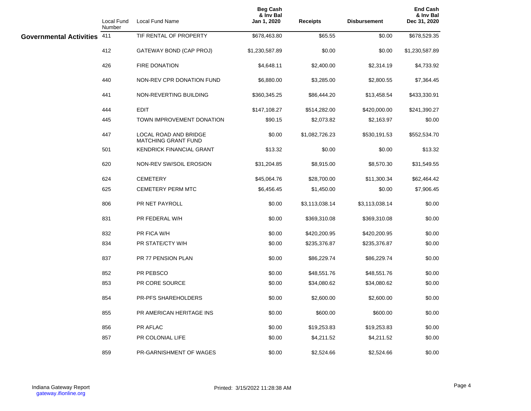|                             | Local Fund<br>Number | Local Fund Name                                     | <b>Beg Cash</b><br>& Inv Bal<br>Jan 1, 2020 | <b>Receipts</b> | <b>Disbursement</b> | <b>End Cash</b><br>& Inv Bal<br>Dec 31, 2020 |
|-----------------------------|----------------------|-----------------------------------------------------|---------------------------------------------|-----------------|---------------------|----------------------------------------------|
| Governmental Activities 411 |                      | TIF RENTAL OF PROPERTY                              | \$678,463.80                                | \$65.55         | \$0.00              | \$678,529.35                                 |
|                             | 412                  | GATEWAY BOND (CAP PROJ)                             | \$1,230,587.89                              | \$0.00          | \$0.00              | \$1,230,587.89                               |
|                             | 426                  | <b>FIRE DONATION</b>                                | \$4,648.11                                  | \$2,400.00      | \$2,314.19          | \$4,733.92                                   |
|                             | 440                  | NON-REV CPR DONATION FUND                           | \$6,880.00                                  | \$3,285.00      | \$2,800.55          | \$7,364.45                                   |
|                             | 441                  | NON-REVERTING BUILDING                              | \$360,345.25                                | \$86,444.20     | \$13,458.54         | \$433,330.91                                 |
|                             | 444                  | EDIT                                                | \$147,108.27                                | \$514,282.00    | \$420,000.00        | \$241,390.27                                 |
|                             | 445                  | TOWN IMPROVEMENT DONATION                           | \$90.15                                     | \$2,073.82      | \$2,163.97          | \$0.00                                       |
|                             | 447                  | LOCAL ROAD AND BRIDGE<br><b>MATCHING GRANT FUND</b> | \$0.00                                      | \$1,082,726.23  | \$530,191.53        | \$552,534.70                                 |
|                             | 501                  | <b>KENDRICK FINANCIAL GRANT</b>                     | \$13.32                                     | \$0.00          | \$0.00              | \$13.32                                      |
|                             | 620                  | NON-REV SW/SOIL EROSION                             | \$31,204.85                                 | \$8,915.00      | \$8,570.30          | \$31,549.55                                  |
|                             | 624                  | <b>CEMETERY</b>                                     | \$45,064.76                                 | \$28,700.00     | \$11,300.34         | \$62,464.42                                  |
|                             | 625                  | <b>CEMETERY PERM MTC</b>                            | \$6,456.45                                  | \$1,450.00      | \$0.00              | \$7,906.45                                   |
|                             | 806                  | PR NET PAYROLL                                      | \$0.00                                      | \$3,113,038.14  | \$3,113,038.14      | \$0.00                                       |
|                             | 831                  | PR FEDERAL W/H                                      | \$0.00                                      | \$369,310.08    | \$369,310.08        | \$0.00                                       |
|                             | 832                  | PR FICA W/H                                         | \$0.00                                      | \$420,200.95    | \$420,200.95        | \$0.00                                       |
|                             | 834                  | PR STATE/CTY W/H                                    | \$0.00                                      | \$235,376.87    | \$235,376.87        | \$0.00                                       |
|                             | 837                  | PR 77 PENSION PLAN                                  | \$0.00                                      | \$86,229.74     | \$86,229.74         | \$0.00                                       |
|                             | 852                  | PR PEBSCO                                           | \$0.00                                      | \$48,551.76     | \$48,551.76         | \$0.00                                       |
|                             | 853                  | PR CORE SOURCE                                      | \$0.00                                      | \$34,080.62     | \$34,080.62         | \$0.00                                       |
|                             | 854                  | PR-PFS SHAREHOLDERS                                 | \$0.00                                      | \$2,600.00      | \$2,600.00          | \$0.00                                       |
|                             | 855                  | PR AMERICAN HERITAGE INS                            | \$0.00                                      | \$600.00        | \$600.00            | \$0.00                                       |
|                             | 856                  | <b>PR AFLAC</b>                                     | \$0.00                                      | \$19,253.83     | \$19,253.83         | \$0.00                                       |
|                             | 857                  | PR COLONIAL LIFE                                    | \$0.00                                      | \$4,211.52      | \$4,211.52          | \$0.00                                       |
|                             | 859                  | PR-GARNISHMENT OF WAGES                             | \$0.00                                      | \$2,524.66      | \$2,524.66          | \$0.00                                       |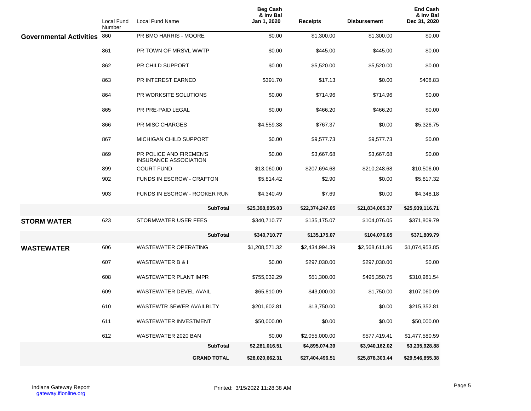|                                | Local Fund<br>Number | Local Fund Name                                         | <b>Beg Cash</b><br>& Inv Bal<br>Jan 1, 2020 | <b>Receipts</b> | <b>Disbursement</b> | <b>End Cash</b><br>& Inv Bal<br>Dec 31, 2020 |
|--------------------------------|----------------------|---------------------------------------------------------|---------------------------------------------|-----------------|---------------------|----------------------------------------------|
| <b>Governmental Activities</b> | 860                  | PR BMO HARRIS - MOORE                                   | \$0.00                                      | \$1,300.00      | \$1,300.00          | \$0.00                                       |
|                                | 861                  | PR TOWN OF MRSVL WWTP                                   | \$0.00                                      | \$445.00        | \$445.00            | \$0.00                                       |
|                                | 862                  | PR CHILD SUPPORT                                        | \$0.00                                      | \$5,520.00      | \$5,520.00          | \$0.00                                       |
|                                | 863                  | PR INTEREST EARNED                                      | \$391.70                                    | \$17.13         | \$0.00              | \$408.83                                     |
|                                | 864                  | PR WORKSITE SOLUTIONS                                   | \$0.00                                      | \$714.96        | \$714.96            | \$0.00                                       |
|                                | 865                  | PR PRE-PAID LEGAL                                       | \$0.00                                      | \$466.20        | \$466.20            | \$0.00                                       |
|                                | 866                  | PR MISC CHARGES                                         | \$4,559.38                                  | \$767.37        | \$0.00              | \$5,326.75                                   |
|                                | 867                  | <b>MICHIGAN CHILD SUPPORT</b>                           | \$0.00                                      | \$9,577.73      | \$9,577.73          | \$0.00                                       |
|                                | 869                  | PR POLICE AND FIREMEN'S<br><b>INSURANCE ASSOCIATION</b> | \$0.00                                      | \$3,667.68      | \$3,667.68          | \$0.00                                       |
|                                | 899                  | <b>COURT FUND</b>                                       | \$13,060.00                                 | \$207,694.68    | \$210,248.68        | \$10,506.00                                  |
|                                | 902                  | <b>FUNDS IN ESCROW - CRAFTON</b>                        | \$5,814.42                                  | \$2.90          | \$0.00              | \$5,817.32                                   |
|                                | 903                  | FUNDS IN ESCROW - ROOKER RUN                            | \$4,340.49                                  | \$7.69          | \$0.00              | \$4,348.18                                   |
|                                |                      | <b>SubTotal</b>                                         | \$25,398,935.03                             | \$22,374,247.05 | \$21,834,065.37     | \$25,939,116.71                              |
| <b>STORM WATER</b>             | 623                  | STORMWATER USER FEES                                    | \$340,710.77                                | \$135,175.07    | \$104,076.05        | \$371,809.79                                 |
|                                |                      | <b>SubTotal</b>                                         | \$340,710.77                                | \$135,175.07    | \$104,076.05        | \$371,809.79                                 |
| <b>WASTEWATER</b>              | 606                  | WASTEWATER OPERATING                                    | \$1,208,571.32                              | \$2,434,994.39  | \$2,568,611.86      | \$1,074,953.85                               |
|                                | 607                  | <b>WASTEWATER B &amp; I</b>                             | \$0.00                                      | \$297,030.00    | \$297,030.00        | \$0.00                                       |
|                                | 608                  | <b>WASTEWATER PLANT IMPR</b>                            | \$755,032.29                                | \$51,300.00     | \$495,350.75        | \$310,981.54                                 |
|                                | 609                  | <b>WASTEWATER DEVEL AVAIL</b>                           | \$65,810.09                                 | \$43,000.00     | \$1,750.00          | \$107,060.09                                 |
|                                | 610                  | WASTEWTR SEWER AVAILBLTY                                | \$201,602.81                                | \$13,750.00     | \$0.00              | \$215,352.81                                 |
|                                | 611                  | WASTEWATER INVESTMENT                                   | \$50,000.00                                 | \$0.00          | \$0.00              | \$50,000.00                                  |
|                                | 612                  | WASTEWATER 2020 BAN                                     | \$0.00                                      | \$2,055,000.00  | \$577,419.41        | \$1,477,580.59                               |
|                                |                      | <b>SubTotal</b>                                         | \$2,281,016.51                              | \$4,895,074.39  | \$3,940,162.02      | \$3,235,928.88                               |
|                                |                      | <b>GRAND TOTAL</b>                                      | \$28,020,662.31                             | \$27,404,496.51 | \$25,878,303.44     | \$29,546,855.38                              |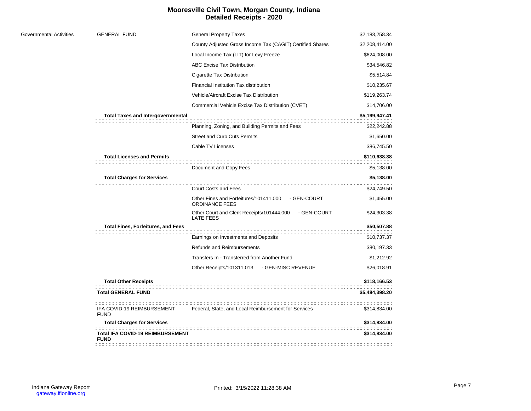# **Mooresville Civil Town, Morgan County, Indiana Detailed Receipts - 2020**

| \$2,183,258.34<br>\$2,208,414.00<br>\$624,008.00<br>\$34,546.82<br>\$5,514.84<br>\$10,235.67<br>\$119,263.74<br>\$14,706.00<br>\$5,199,947.41<br>\$22,242.88<br>\$1,650.00 |
|----------------------------------------------------------------------------------------------------------------------------------------------------------------------------|
|                                                                                                                                                                            |
|                                                                                                                                                                            |
|                                                                                                                                                                            |
|                                                                                                                                                                            |
|                                                                                                                                                                            |
|                                                                                                                                                                            |
|                                                                                                                                                                            |
|                                                                                                                                                                            |
|                                                                                                                                                                            |
|                                                                                                                                                                            |
|                                                                                                                                                                            |
| \$86,745.50                                                                                                                                                                |
| \$110,638.38<br>\$5,138.00                                                                                                                                                 |
| \$5,138.00                                                                                                                                                                 |
| \$24,749.50                                                                                                                                                                |
| \$1,455.00                                                                                                                                                                 |
| \$24,303.38                                                                                                                                                                |
| \$50,507.88                                                                                                                                                                |
| \$10,737.37                                                                                                                                                                |
| \$80,197.33                                                                                                                                                                |
| \$1,212.92                                                                                                                                                                 |
| \$26,018.91                                                                                                                                                                |
| \$118,166.53                                                                                                                                                               |
| \$5,484,398.20                                                                                                                                                             |
| \$314,834.00                                                                                                                                                               |
| \$314,834.00                                                                                                                                                               |
| \$314,834.00                                                                                                                                                               |
|                                                                                                                                                                            |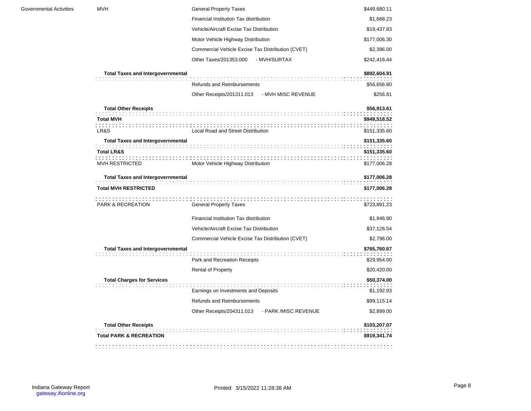| Governmental Activities | <b>MVH</b>                               | <b>General Property Taxes</b>                     | \$449,680.11 |
|-------------------------|------------------------------------------|---------------------------------------------------|--------------|
|                         |                                          | Financial Institution Tax distribution            | \$1,668.23   |
|                         |                                          | Vehicle/Aircraft Excise Tax Distribution          | \$19,437.83  |
|                         |                                          | Motor Vehicle Highway Distribution                | \$177,006.30 |
|                         |                                          | Commercial Vehicle Excise Tax Distribution (CVET) | \$2,396.00   |
|                         |                                          | Other Taxes/201353.000 - MVH/SURTAX               | \$242,416.44 |
|                         | <b>Total Taxes and Intergovernmental</b> |                                                   | \$892,604.91 |
|                         |                                          | Refunds and Reimbursements                        | \$56,656.80  |
|                         |                                          | Other Receipts/201311.013 - MVH MISC REVENUE      | \$256.81     |
|                         | <b>Total Other Receipts</b>              |                                                   | \$56,913.61  |
|                         | <b>Total MVH</b>                         |                                                   | \$949,518.52 |
|                         | LR&S                                     | Local Road and Street Distribution                | \$151,335.60 |
|                         | <b>Total Taxes and Intergovernmental</b> |                                                   | \$151,335.60 |
|                         | <b>Total LR&amp;S</b>                    |                                                   | \$151,335.60 |
|                         | MVH RESTRICTED                           | <br>Motor Vehicle Highway Distribution            | \$177,006.28 |
|                         | <b>Total Taxes and Intergovernmental</b> |                                                   | \$177,006.28 |
|                         | <b>Total MVH RESTRICTED</b>              |                                                   | \$177,006.28 |
|                         |                                          |                                                   |              |
|                         | PARK & RECREATION                        | <b>General Property Taxes</b>                     | \$723,891.23 |
|                         |                                          | Financial Institution Tax distribution            | \$1,946.90   |
|                         |                                          | Vehicle/Aircraft Excise Tax Distribution          | \$37,126.54  |
|                         |                                          | Commercial Vehicle Excise Tax Distribution (CVET) | \$2,796.00   |
|                         | <b>Total Taxes and Intergovernmental</b> |                                                   | \$765,760.67 |
|                         |                                          | Park and Recreation Receipts                      | \$29,954.00  |
|                         |                                          | <b>Rental of Property</b>                         | \$20,420.00  |
|                         | <b>Total Charges for Services</b>        |                                                   | \$50,374.00  |
|                         |                                          | Earnings on Investments and Deposits              | \$1,192.93   |
|                         |                                          | Refunds and Reimbursements                        | \$99,115.14  |
|                         |                                          | Other Receipts/204311.013 - PARK /MISC REVENUE    | \$2,899.00   |
|                         | <b>Total Other Receipts</b>              |                                                   | \$103,207.07 |
|                         | <b>Total PARK &amp; RECREATION</b>       |                                                   | \$919,341.74 |
|                         |                                          |                                                   |              |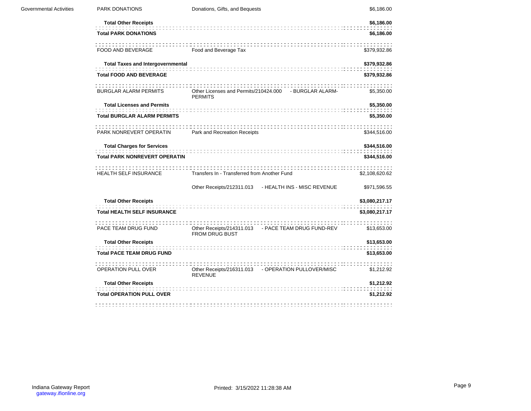| Governmental Activities | PARK DONATIONS                                                            | Donations, Gifts, and Bequests               |                                                        | \$6,186.00                   |
|-------------------------|---------------------------------------------------------------------------|----------------------------------------------|--------------------------------------------------------|------------------------------|
|                         | <b>Total Other Receipts</b>                                               |                                              |                                                        | \$6,186.00                   |
|                         | <b>Total PARK DONATIONS</b>                                               |                                              |                                                        | \$6,186.00                   |
|                         | .<br>FOOD AND BEVERAGE                                                    | Food and Beverage Tax                        |                                                        | \$379,932.86                 |
|                         | <b>Total Taxes and Intergovernmental</b>                                  |                                              |                                                        | \$379,932.86                 |
|                         | <b>Total FOOD AND BEVERAGE</b>                                            |                                              |                                                        | \$379,932.86                 |
|                         | BURGLAR ALARM PERMITS                                                     | <b>PERMITS</b>                               | Other Licenses and Permits/210424.000 - BURGLAR ALARM- | \$5,350.00                   |
|                         | <b>Total Licenses and Permits</b>                                         |                                              |                                                        | \$5,350.00                   |
|                         | <b>Total BURGLAR ALARM PERMITS</b>                                        |                                              |                                                        | \$5,350.00                   |
|                         | PARK NONREVERT OPERATIN Park and Recreation Receipts                      |                                              |                                                        | \$344,516.00                 |
|                         | <b>Total Charges for Services</b><br><b>Total PARK NONREVERT OPERATIN</b> |                                              |                                                        | \$344,516.00<br>\$344,516.00 |
|                         | <b>HEALTH SELF INSURANCE</b>                                              | Transfers In - Transferred from Another Fund |                                                        | \$2,108,620.62               |
|                         |                                                                           |                                              | Other Receipts/212311.013 - HEALTH INS - MISC REVENUE  | \$971,596.55                 |
|                         | <b>Total Other Receipts</b>                                               |                                              |                                                        | \$3,080,217.17               |
|                         | <b>Total HEALTH SELF INSURANCE</b>                                        |                                              |                                                        | \$3,080,217.17               |
|                         | PACE TEAM DRUG FUND                                                       | <b>FROM DRUG BUST</b>                        | Other Receipts/214311.013 - PACE TEAM DRUG FUND-REV    | \$13,653.00                  |
|                         | <b>Total Other Receipts</b>                                               |                                              |                                                        | \$13,653.00                  |
|                         | <b>Total PACE TEAM DRUG FUND</b>                                          |                                              |                                                        | \$13,653.00                  |
|                         | OPERATION PULL OVER                                                       | <b>REVENUE</b>                               | Other Receipts/216311.013 - OPERATION PULLOVER/MISC    | \$1,212.92                   |
|                         | <b>Total Other Receipts</b>                                               |                                              |                                                        | \$1,212.92                   |
|                         | <b>Total OPERATION PULL OVER</b>                                          |                                              |                                                        | \$1,212.92                   |
|                         |                                                                           |                                              |                                                        |                              |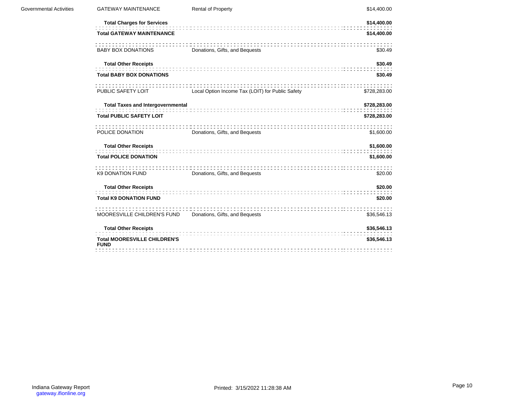| <b>Governmental Activities</b> | <b>GATEWAY MAINTENANCE</b>                         | <b>Rental of Property</b>                        | \$14,400.00  |
|--------------------------------|----------------------------------------------------|--------------------------------------------------|--------------|
|                                | <b>Total Charges for Services</b>                  |                                                  | \$14,400.00  |
|                                | <b>Total GATEWAY MAINTENANCE</b>                   |                                                  | \$14,400.00  |
|                                | <b>BABY BOX DONATIONS</b>                          | Donations, Gifts, and Bequests                   | \$30.49      |
|                                | <b>Total Other Receipts</b>                        |                                                  | \$30.49      |
|                                | <b>Total BABY BOX DONATIONS</b>                    |                                                  | \$30.49      |
|                                | :::::::::::::<br>PUBLIC SAFETY LOIT                | Local Option Income Tax (LOIT) for Public Safety | \$728,283.00 |
|                                | <b>Total Taxes and Intergovernmental</b>           |                                                  | \$728,283.00 |
|                                | <b>Total PUBLIC SAFETY LOIT</b>                    |                                                  | \$728,283.00 |
|                                | POLICE DONATION                                    | Donations, Gifts, and Bequests                   | \$1,600.00   |
|                                | <b>Total Other Receipts</b>                        |                                                  | \$1,600.00   |
|                                | <b>Total POLICE DONATION</b>                       |                                                  | \$1,600.00   |
|                                | <b>K9 DONATION FUND</b>                            | Donations, Gifts, and Bequests                   | \$20.00      |
|                                | <b>Total Other Receipts</b>                        |                                                  | \$20.00      |
|                                | <b>Total K9 DONATION FUND</b>                      |                                                  | \$20.00      |
|                                | MOORESVILLE CHILDREN'S FUND                        | Donations, Gifts, and Bequests                   | \$36,546.13  |
|                                | <b>Total Other Receipts</b>                        |                                                  | \$36,546.13  |
|                                | <b>Total MOORESVILLE CHILDREN'S</b><br><b>FUND</b> |                                                  | \$36,546.13  |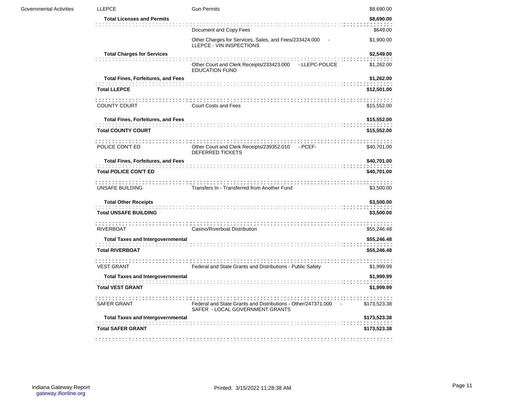| Governmental Activities | <b>LLEPCE</b>                             | <b>Gun Permits</b>                                                                                 | \$8,690.00   |
|-------------------------|-------------------------------------------|----------------------------------------------------------------------------------------------------|--------------|
|                         | <b>Total Licenses and Permits</b>         |                                                                                                    | \$8,690.00   |
|                         |                                           | Document and Copy Fees                                                                             | \$649.00     |
|                         |                                           | Other Charges for Services, Sales, and Fees/233424.000 -<br>LLEPCE - VIN INSPECTIONS               | \$1,900.00   |
|                         | <b>Total Charges for Services</b>         |                                                                                                    | \$2,549.00   |
|                         |                                           | Other Court and Clerk Receipts/233423.000 - LLEPC-POLICE<br><b>EDUCATION FUND</b>                  | \$1,262.00   |
|                         | <b>Total Fines, Forfeitures, and Fees</b> |                                                                                                    | \$1,262.00   |
|                         | <b>Total LLEPCE</b>                       |                                                                                                    | \$12,501.00  |
|                         | <b>COUNTY COURT</b>                       | Court Costs and Fees                                                                               | \$15,552.00  |
|                         | <b>Total Fines, Forfeitures, and Fees</b> |                                                                                                    | \$15,552.00  |
|                         | <b>Total COUNTY COURT</b>                 |                                                                                                    | \$15,552.00  |
|                         | POLICE CON'T ED                           | Other Court and Clerk Receipts/239352.010 - PCEF-<br><b>DEFERRED TICKETS</b>                       | \$40,701.00  |
|                         | <b>Total Fines, Forfeitures, and Fees</b> |                                                                                                    | \$40,701.00  |
|                         | <b>Total POLICE CON'T ED</b>              |                                                                                                    | \$40,701.00  |
|                         | UNSAFE BUILDING                           | Transfers In - Transferred from Another Fund                                                       | \$3,500.00   |
|                         | <b>Total Other Receipts</b>               |                                                                                                    | \$3,500.00   |
|                         | <b>Total UNSAFE BUILDING</b>              |                                                                                                    | \$3,500.00   |
|                         | <b>RIVERBOAT</b>                          | Casino/Riverboat Distribution                                                                      | \$55,246.48  |
|                         | <b>Total Taxes and Intergovernmental</b>  |                                                                                                    | \$55,246.48  |
|                         | <b>Total RIVERBOAT</b>                    |                                                                                                    | \$55,246.48  |
|                         | <b>VEST GRANT</b>                         | Federal and State Grants and Distributions - Public Safety                                         | \$1,999.99   |
|                         | <b>Total Taxes and Intergovernmental</b>  |                                                                                                    | \$1,999.99   |
|                         | <b>Total VEST GRANT</b>                   |                                                                                                    | \$1,999.99   |
|                         | SAFER GRANT                               | Federal and State Grants and Distributions - Other/247371.000 -<br>SAFER - LOCAL GOVERNMENT GRANTS | \$173,523.38 |
|                         | <b>Total Taxes and Intergovernmental</b>  |                                                                                                    | \$173,523.38 |
|                         | <b>Total SAFER GRANT</b>                  |                                                                                                    | \$173,523.38 |
|                         |                                           |                                                                                                    |              |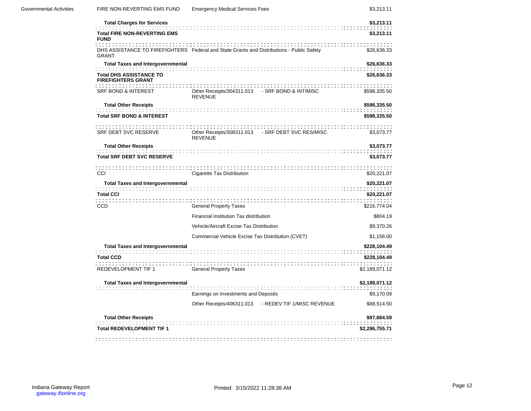| <b>Governmental Activities</b> | FIRE NON-REVERTING EMS FUND                                 | <b>Emergency Medical Services Fees</b>                                                    | \$3,213.11                   |
|--------------------------------|-------------------------------------------------------------|-------------------------------------------------------------------------------------------|------------------------------|
|                                | <b>Total Charges for Services</b>                           |                                                                                           | \$3,213.11                   |
|                                | <b>Total FIRE NON-REVERTING EMS</b><br><b>FUND</b>          |                                                                                           | \$3,213.11                   |
|                                | <b>GRANT</b>                                                | DHS ASSISTANCE TO FIREFIGHTERS Federal and State Grants and Distributions - Public Safety | \$26,636.33                  |
|                                | <b>Total Taxes and Intergovernmental</b>                    |                                                                                           | \$26,636.33                  |
|                                | <b>Total DHS ASSISTANCE TO</b><br><b>FIREFIGHTERS GRANT</b> |                                                                                           | \$26,636.33                  |
|                                | <b>SRF BOND &amp; INTEREST</b>                              | Other Receipts/304311.013 - SRF BOND & INT/MISC<br><b>REVENUE</b>                         | \$598,335.50                 |
|                                | <b>Total Other Receipts</b>                                 |                                                                                           | \$598,335.50                 |
|                                | <b>Total SRF BOND &amp; INTEREST</b>                        |                                                                                           | \$598,335.50                 |
|                                | SRF DEBT SVC RESERVE                                        | Other Receipts/308311.013 - SRF DEBT SVC RES/MISC<br><b>REVENUE</b>                       | \$3,073.77                   |
|                                | <b>Total Other Receipts</b>                                 |                                                                                           | \$3,073.77                   |
|                                | <b>Total SRF DEBT SVC RESERVE</b>                           |                                                                                           | \$3,073.77                   |
|                                | CCI                                                         | Cigarette Tax Distribution                                                                | \$20,221.07                  |
|                                | <b>Total Taxes and Intergovernmental</b>                    |                                                                                           | \$20,221.07                  |
|                                | <b>Total CCI</b>                                            |                                                                                           | \$20,221.07                  |
|                                | <b>CCD</b>                                                  | <b>General Property Taxes</b>                                                             | \$216,774.04                 |
|                                |                                                             | Financial Institution Tax distribution                                                    | \$804.19                     |
|                                |                                                             | Vehicle/Aircraft Excise Tax Distribution                                                  | \$9,370.26                   |
|                                |                                                             | Commercial Vehicle Excise Tax Distribution (CVET)                                         | \$1,156.00                   |
|                                | <b>Total Taxes and Intergovernmental</b>                    |                                                                                           | \$228,104.49                 |
|                                | <b>Total CCD</b>                                            |                                                                                           | \$228,104.49                 |
|                                | <b>REDEVELOPMENT TIF 1</b>                                  | <b>General Property Taxes</b>                                                             | \$2,189,071.12               |
|                                | <b>Total Taxes and Intergovernmental</b>                    | Earnings on Investments and Deposits                                                      | \$2,189,071.12<br>\$9,170.09 |
|                                |                                                             | Other Receipts/406311.013 - REDEV TIF 1/MISC REVENUE                                      | \$88,514.50                  |
|                                | <b>Total Other Receipts</b>                                 |                                                                                           | \$97,684.59                  |
|                                | <b>Total REDEVELOPMENT TIF 1</b>                            |                                                                                           | \$2,286,755.71               |
|                                |                                                             |                                                                                           |                              |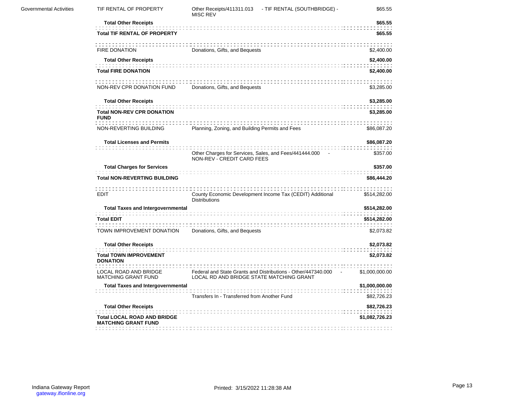| TIF RENTAL OF PROPERTY                                           | <b>MISC REV</b>                |                                                          | \$65.55                                                                                                                                                                                                                                                                                                                                                                                                                         |
|------------------------------------------------------------------|--------------------------------|----------------------------------------------------------|---------------------------------------------------------------------------------------------------------------------------------------------------------------------------------------------------------------------------------------------------------------------------------------------------------------------------------------------------------------------------------------------------------------------------------|
| <b>Total Other Receipts</b>                                      |                                |                                                          | \$65.55                                                                                                                                                                                                                                                                                                                                                                                                                         |
| <b>Total TIF RENTAL OF PROPERTY</b>                              |                                |                                                          | \$65.55                                                                                                                                                                                                                                                                                                                                                                                                                         |
| FIRE DONATION                                                    | Donations, Gifts, and Bequests |                                                          | \$2,400.00                                                                                                                                                                                                                                                                                                                                                                                                                      |
| <b>Total Other Receipts</b>                                      |                                |                                                          | \$2,400.00                                                                                                                                                                                                                                                                                                                                                                                                                      |
| <b>Total FIRE DONATION</b>                                       |                                |                                                          | \$2,400.00                                                                                                                                                                                                                                                                                                                                                                                                                      |
|                                                                  |                                |                                                          | \$3,285.00                                                                                                                                                                                                                                                                                                                                                                                                                      |
| <b>Total Other Receipts</b>                                      |                                |                                                          | \$3,285.00                                                                                                                                                                                                                                                                                                                                                                                                                      |
| <b>Total NON-REV CPR DONATION</b><br><b>FUND</b>                 |                                |                                                          | \$3,285.00                                                                                                                                                                                                                                                                                                                                                                                                                      |
| NON-REVERTING BUILDING                                           |                                |                                                          | \$86,087.20                                                                                                                                                                                                                                                                                                                                                                                                                     |
| <b>Total Licenses and Permits</b>                                |                                |                                                          | \$86,087.20                                                                                                                                                                                                                                                                                                                                                                                                                     |
|                                                                  |                                |                                                          | \$357.00                                                                                                                                                                                                                                                                                                                                                                                                                        |
| <b>Total Charges for Services</b>                                |                                | \$357.00                                                 |                                                                                                                                                                                                                                                                                                                                                                                                                                 |
| <b>Total NON-REVERTING BUILDING</b>                              |                                |                                                          | \$86,444.20                                                                                                                                                                                                                                                                                                                                                                                                                     |
| EDIT                                                             | <b>Distributions</b>           |                                                          | \$514,282.00                                                                                                                                                                                                                                                                                                                                                                                                                    |
| <b>Total Taxes and Intergovernmental</b>                         |                                | \$514,282.00                                             |                                                                                                                                                                                                                                                                                                                                                                                                                                 |
| <b>Total EDIT</b>                                                |                                |                                                          | \$514,282.00                                                                                                                                                                                                                                                                                                                                                                                                                    |
| TOWN IMPROVEMENT DONATION                                        | Donations, Gifts, and Bequests |                                                          | \$2,073.82                                                                                                                                                                                                                                                                                                                                                                                                                      |
| <b>Total Other Receipts</b>                                      |                                |                                                          | \$2,073.82                                                                                                                                                                                                                                                                                                                                                                                                                      |
| <b>Total TOWN IMPROVEMENT</b><br><b>DONATION</b>                 |                                |                                                          | \$2,073.82                                                                                                                                                                                                                                                                                                                                                                                                                      |
| LOCAL ROAD AND BRIDGE<br><b>MATCHING GRANT FUND</b>              |                                |                                                          | \$1,000,000.00                                                                                                                                                                                                                                                                                                                                                                                                                  |
| <b>Total Taxes and Intergovernmental</b>                         |                                |                                                          | \$1,000,000.00                                                                                                                                                                                                                                                                                                                                                                                                                  |
|                                                                  |                                |                                                          | \$82,726.23                                                                                                                                                                                                                                                                                                                                                                                                                     |
| <b>Total Other Receipts</b>                                      |                                |                                                          | \$82,726.23                                                                                                                                                                                                                                                                                                                                                                                                                     |
| <b>Total LOCAL ROAD AND BRIDGE</b><br><b>MATCHING GRANT FUND</b> |                                |                                                          | \$1,082,726.23                                                                                                                                                                                                                                                                                                                                                                                                                  |
|                                                                  |                                | NON-REV CPR DONATION FUND Donations, Gifts, and Bequests | Other Receipts/411311.013 - TIF RENTAL (SOUTHBRIDGE) -<br>Planning, Zoning, and Building Permits and Fees<br>Other Charges for Services, Sales, and Fees/441444.000 -<br>NON-REV - CREDIT CARD FEES<br>County Economic Development Income Tax (CEDIT) Additional<br>Federal and State Grants and Distributions - Other/447340.000 -<br>LOCAL RD AND BRIDGE STATE MATCHING GRANT<br>Transfers In - Transferred from Another Fund |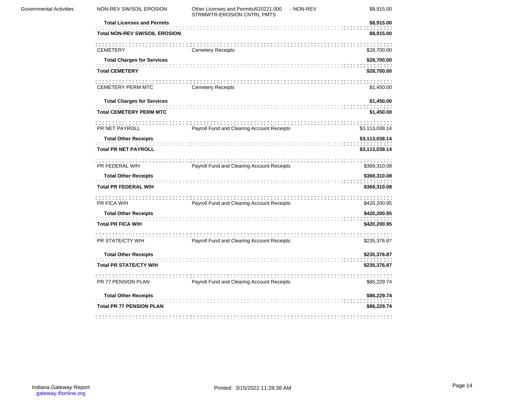| <b>Governmental Activities</b> | NON-REV SW/SOIL EROSION                       | Other Licenses and Permits/620221.000 - NON-REV<br>STRMWTR-EROSION CNTRL PMTS | \$8,915.00                       |
|--------------------------------|-----------------------------------------------|-------------------------------------------------------------------------------|----------------------------------|
|                                | <b>Total Licenses and Permits</b>             |                                                                               | \$8,915.00                       |
|                                | <b>Total NON-REV SW/SOIL EROSION</b>          |                                                                               | \$8,915.00                       |
|                                | <b>CEMETERY</b>                               | <b>Cemetery Receipts</b>                                                      | \$28,700.00                      |
|                                | <b>Total Charges for Services</b>             |                                                                               | \$28,700.00                      |
|                                | <b>Total CEMETERY</b>                         |                                                                               | \$28,700.00                      |
|                                | CEMETERY PERM MTC                             | <b>Cemetery Receipts</b>                                                      | \$1,450.00                       |
|                                | <b>Total Charges for Services</b>             |                                                                               | \$1,450.00                       |
|                                | <b>Total CEMETERY PERM MTC</b>                |                                                                               | \$1,450.00                       |
|                                |                                               |                                                                               |                                  |
|                                | PR NET PAYROLL<br><b>Total Other Receipts</b> | Payroll Fund and Clearing Account Receipts                                    | \$3,113,038.14<br>\$3,113,038.14 |
|                                |                                               |                                                                               |                                  |
|                                | <b>Total PR NET PAYROLL</b>                   |                                                                               | \$3,113,038.14                   |
|                                | PR FEDERAL W/H                                | Payroll Fund and Clearing Account Receipts                                    | \$369,310.08                     |
|                                | <b>Total Other Receipts</b>                   |                                                                               | \$369,310.08                     |
|                                | <b>Total PR FEDERAL W/H</b>                   |                                                                               | \$369,310.08                     |
|                                | PR FICA W/H                                   | .<br>Payroll Fund and Clearing Account Receipts                               | \$420,200.95                     |
|                                | <b>Total Other Receipts</b>                   |                                                                               | \$420,200.95                     |
|                                | <b>Total PR FICA W/H</b>                      |                                                                               | \$420,200.95                     |
|                                | PR STATE/CTY W/H                              | Payroll Fund and Clearing Account Receipts                                    | \$235,376.87                     |
|                                | <b>Total Other Receipts</b>                   |                                                                               | \$235,376.87                     |
|                                | <b>Total PR STATE/CTY W/H</b>                 |                                                                               | \$235,376.87                     |
|                                | PR 77 PENSION PLAN                            | Payroll Fund and Clearing Account Receipts                                    | \$86,229.74                      |
|                                | <b>Total Other Receipts</b>                   |                                                                               | \$86,229.74                      |
|                                | <b>Total PR 77 PENSION PLAN</b>               |                                                                               | \$86,229.74                      |
|                                |                                               |                                                                               |                                  |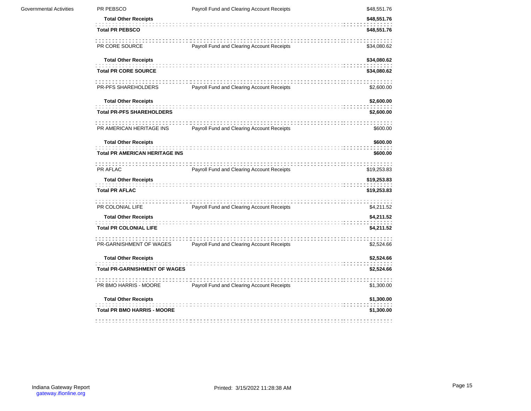| Governmental Activities | PR PEBSCO                             | Payroll Fund and Clearing Account Receipts | \$48,551.76 |
|-------------------------|---------------------------------------|--------------------------------------------|-------------|
|                         | <b>Total Other Receipts</b>           |                                            | \$48,551.76 |
|                         | <b>Total PR PEBSCO</b>                |                                            | \$48,551.76 |
|                         | PR CORE SOURCE                        | Payroll Fund and Clearing Account Receipts | \$34,080.62 |
|                         | <b>Total Other Receipts</b>           |                                            | \$34,080.62 |
|                         | <b>Total PR CORE SOURCE</b>           |                                            | \$34,080.62 |
|                         | PR-PFS SHAREHOLDERS                   | Payroll Fund and Clearing Account Receipts | \$2,600.00  |
|                         | <b>Total Other Receipts</b>           |                                            | \$2,600.00  |
|                         | <b>Total PR-PFS SHAREHOLDERS</b>      |                                            | \$2,600.00  |
|                         | PR AMERICAN HERITAGE INS              | Payroll Fund and Clearing Account Receipts | \$600.00    |
|                         | <b>Total Other Receipts</b>           |                                            | \$600.00    |
|                         | <b>Total PR AMERICAN HERITAGE INS</b> |                                            | \$600.00    |
|                         | PR AFLAC                              | Payroll Fund and Clearing Account Receipts | \$19,253.83 |
|                         | <b>Total Other Receipts</b>           |                                            | \$19,253.83 |
|                         | <b>Total PR AFLAC</b>                 |                                            | \$19,253.83 |
|                         | PR COLONIAL LIFE                      | Payroll Fund and Clearing Account Receipts | \$4,211.52  |
|                         | <b>Total Other Receipts</b>           |                                            | \$4,211.52  |
|                         | <b>Total PR COLONIAL LIFE</b>         |                                            | \$4,211.52  |
|                         | PR-GARNISHMENT OF WAGES               | Payroll Fund and Clearing Account Receipts | \$2,524.66  |
|                         | <b>Total Other Receipts</b>           |                                            | \$2,524.66  |
|                         | <b>Total PR-GARNISHMENT OF WAGES</b>  |                                            | \$2,524.66  |
|                         | PR BMO HARRIS - MOORE                 | Payroll Fund and Clearing Account Receipts | \$1,300.00  |
|                         | <b>Total Other Receipts</b>           |                                            | \$1,300.00  |
|                         | <b>Total PR BMO HARRIS - MOORE</b>    |                                            | \$1,300.00  |
|                         |                                       |                                            |             |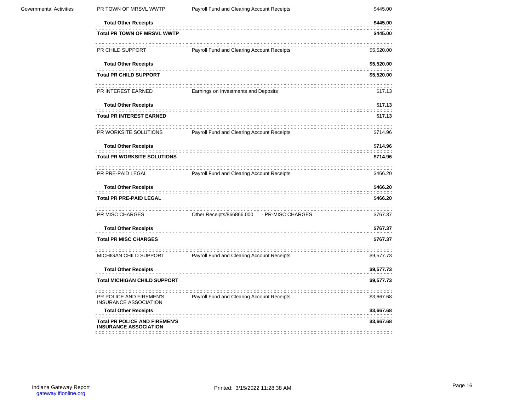| <b>Governmental Activities</b> | PR TOWN OF MRSVL WWTP                                                | Payroll Fund and Clearing Account Receipts  | \$445.00   |  |  |
|--------------------------------|----------------------------------------------------------------------|---------------------------------------------|------------|--|--|
|                                | <b>Total Other Receipts</b>                                          |                                             | \$445.00   |  |  |
|                                | <b>Total PR TOWN OF MRSVL WWTP</b><br>\$445.00                       |                                             |            |  |  |
|                                | PR CHILD SUPPORT                                                     | Payroll Fund and Clearing Account Receipts  | \$5,520.00 |  |  |
|                                | <b>Total Other Receipts</b>                                          |                                             | \$5,520.00 |  |  |
|                                | <b>Total PR CHILD SUPPORT</b>                                        |                                             | \$5,520.00 |  |  |
|                                | PR INTEREST EARNED                                                   | Earnings on Investments and Deposits        | \$17.13    |  |  |
|                                | <b>Total Other Receipts</b>                                          |                                             | \$17.13    |  |  |
|                                | <b>Total PR INTEREST EARNED</b>                                      |                                             | \$17.13    |  |  |
|                                | PR WORKSITE SOLUTIONS                                                | Payroll Fund and Clearing Account Receipts  | \$714.96   |  |  |
|                                | <b>Total Other Receipts</b>                                          |                                             | \$714.96   |  |  |
|                                | <b>Total PR WORKSITE SOLUTIONS</b>                                   |                                             | \$714.96   |  |  |
|                                | PR PRE-PAID LEGAL                                                    | Payroll Fund and Clearing Account Receipts  | \$466.20   |  |  |
|                                | <b>Total Other Receipts</b>                                          |                                             | \$466.20   |  |  |
|                                | <b>Total PR PRE-PAID LEGAL</b>                                       |                                             | \$466.20   |  |  |
|                                | PR MISC CHARGES                                                      | Other Receipts/866866.000 - PR-MISC CHARGES | \$767.37   |  |  |
|                                | <b>Total Other Receipts</b>                                          |                                             | \$767.37   |  |  |
|                                | <b>Total PR MISC CHARGES</b>                                         |                                             | \$767.37   |  |  |
|                                | MICHIGAN CHILD SUPPORT                                               | Payroll Fund and Clearing Account Receipts  | \$9,577.73 |  |  |
|                                | <b>Total Other Receipts</b>                                          |                                             | \$9,577.73 |  |  |
|                                | <b>Total MICHIGAN CHILD SUPPORT</b>                                  |                                             | \$9,577.73 |  |  |
|                                | PR POLICE AND FIREMEN'S<br>INSURANCE ASSOCIATION                     | Payroll Fund and Clearing Account Receipts  | \$3,667.68 |  |  |
|                                | <b>Total Other Receipts</b>                                          |                                             | \$3,667.68 |  |  |
|                                | <b>Total PR POLICE AND FIREMEN'S</b><br><b>INSURANCE ASSOCIATION</b> |                                             | \$3,667.68 |  |  |
|                                |                                                                      |                                             |            |  |  |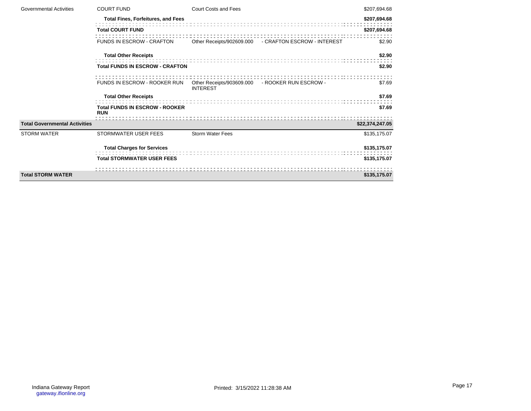| <b>Governmental Activities</b>       | <b>COURT FUND</b>                                   | Court Costs and Fees                                               |                                                       | \$207,694.68    |
|--------------------------------------|-----------------------------------------------------|--------------------------------------------------------------------|-------------------------------------------------------|-----------------|
|                                      | <b>Total Fines, Forfeitures, and Fees</b>           |                                                                    |                                                       | \$207,694.68    |
|                                      | <b>Total COURT FUND</b>                             |                                                                    |                                                       |                 |
|                                      | <b>FUNDS IN ESCROW - CRAFTON</b>                    |                                                                    | Other Receipts/902609.000 - CRAFTON ESCROW - INTEREST | \$2.90          |
|                                      | <b>Total Other Receipts</b>                         |                                                                    |                                                       | \$2.90          |
|                                      | <b>Total FUNDS IN ESCROW - CRAFTON</b>              |                                                                    |                                                       | \$2.90          |
|                                      | FUNDS IN ESCROW - ROOKER RUN                        | Other Receipts/903609.000 - ROOKER RUN ESCROW -<br><b>INTEREST</b> |                                                       | \$7.69          |
|                                      | <b>Total Other Receipts</b>                         |                                                                    |                                                       | \$7.69          |
|                                      | <b>Total FUNDS IN ESCROW - ROOKER</b><br><b>RUN</b> |                                                                    |                                                       | \$7.69          |
| <b>Total Governmental Activities</b> |                                                     |                                                                    |                                                       | \$22,374,247.05 |
| <b>STORM WATER</b>                   | STORMWATER USER FEES                                | <b>Storm Water Fees</b>                                            |                                                       | \$135,175.07    |
|                                      | <b>Total Charges for Services</b>                   |                                                                    |                                                       | \$135,175.07    |
|                                      | <b>Total STORMWATER USER FEES</b>                   |                                                                    |                                                       | \$135,175.07    |
| <b>Total STORM WATER</b>             |                                                     |                                                                    |                                                       | \$135,175.07    |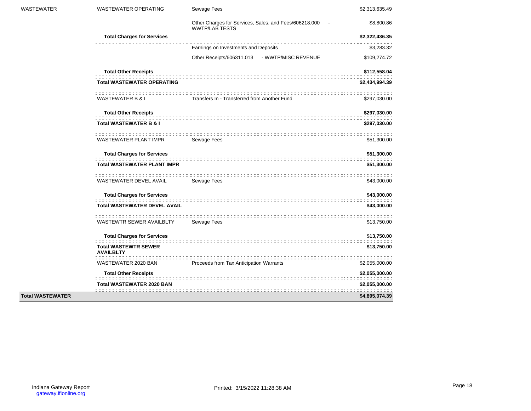| <b>WASTEWATER</b>       | <b>WASTEWATER OPERATING</b>                     | Sewage Fees                                                                     | \$2,313,635.49 |
|-------------------------|-------------------------------------------------|---------------------------------------------------------------------------------|----------------|
|                         |                                                 | Other Charges for Services, Sales, and Fees/606218.000<br><b>WWTP/LAB TESTS</b> | \$8,800.86     |
|                         | <b>Total Charges for Services</b>               |                                                                                 | \$2,322,436.35 |
|                         |                                                 | Earnings on Investments and Deposits                                            | \$3,283.32     |
|                         |                                                 | Other Receipts/606311.013 - WWTP/MISC REVENUE                                   | \$109,274.72   |
|                         | <b>Total Other Receipts</b>                     |                                                                                 | \$112,558.04   |
|                         | <b>Total WASTEWATER OPERATING</b>               |                                                                                 | \$2,434,994.39 |
|                         | WASTEWATER B & I                                | Transfers In - Transferred from Another Fund                                    | \$297,030.00   |
|                         | <b>Total Other Receipts</b>                     |                                                                                 | \$297,030.00   |
|                         | <b>Total WASTEWATER B &amp; I</b>               |                                                                                 | \$297,030.00   |
|                         | WASTEWATER PLANT IMPR                           | Sewage Fees                                                                     | \$51,300.00    |
|                         | <b>Total Charges for Services</b>               |                                                                                 | \$51,300.00    |
|                         | <b>Total WASTEWATER PLANT IMPR</b>              |                                                                                 | \$51,300.00    |
|                         | WASTEWATER DEVEL AVAIL                          | Sewage Fees                                                                     | \$43,000.00    |
|                         | <b>Total Charges for Services</b>               |                                                                                 | \$43,000.00    |
|                         | <b>Total WASTEWATER DEVEL AVAIL</b>             |                                                                                 | \$43,000.00    |
|                         | WASTEWTR SEWER AVAILBLTY Sewage Fees            |                                                                                 | \$13,750.00    |
|                         | <b>Total Charges for Services</b>               |                                                                                 | \$13,750.00    |
|                         | <b>Total WASTEWTR SEWER</b><br><b>AVAILBLTY</b> |                                                                                 | \$13,750.00    |
|                         | WASTEWATER 2020 BAN                             | Proceeds from Tax Anticipation Warrants                                         | \$2,055,000.00 |
|                         | <b>Total Other Receipts</b>                     |                                                                                 | \$2,055,000.00 |
|                         | <b>Total WASTEWATER 2020 BAN</b>                |                                                                                 | \$2,055,000.00 |
| <b>Total WASTEWATER</b> |                                                 |                                                                                 | \$4,895,074.39 |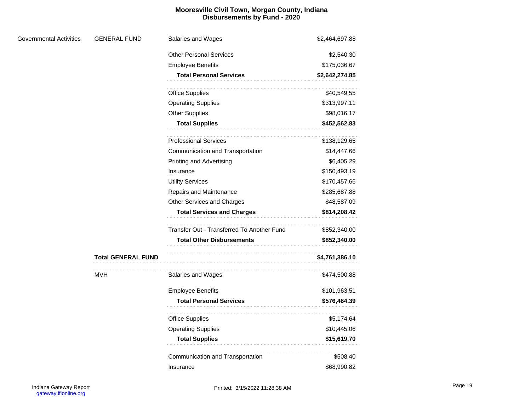# **Mooresville Civil Town, Morgan County, Indiana Disbursements by Fund - 2020**

| Governmental Activities | <b>GENERAL FUND</b>       | Salaries and Wages                         | \$2,464,697.88 |
|-------------------------|---------------------------|--------------------------------------------|----------------|
|                         |                           | <b>Other Personal Services</b>             | \$2,540.30     |
|                         |                           | <b>Employee Benefits</b>                   | \$175,036.67   |
|                         |                           | <b>Total Personal Services</b>             | \$2,642,274.85 |
|                         |                           | <b>Office Supplies</b>                     | \$40,549.55    |
|                         |                           | <b>Operating Supplies</b>                  | \$313,997.11   |
|                         |                           | <b>Other Supplies</b>                      | \$98,016.17    |
|                         |                           | <b>Total Supplies</b><br>.                 | \$452,562.83   |
|                         |                           | <b>Professional Services</b>               | \$138,129.65   |
|                         |                           | Communication and Transportation           | \$14,447.66    |
|                         |                           | <b>Printing and Advertising</b>            | \$6,405.29     |
|                         |                           | Insurance                                  | \$150,493.19   |
|                         |                           | <b>Utility Services</b>                    | \$170,457.66   |
|                         |                           | Repairs and Maintenance                    | \$285,687.88   |
|                         |                           | Other Services and Charges                 | \$48,587.09    |
|                         |                           | <b>Total Services and Charges</b>          | \$814,208.42   |
|                         |                           | Transfer Out - Transferred To Another Fund | \$852,340.00   |
|                         |                           | <b>Total Other Disbursements</b>           | \$852,340.00   |
|                         | <b>Total GENERAL FUND</b> |                                            | \$4,761,386.10 |
|                         | <b>MVH</b>                | Salaries and Wages                         | \$474,500.88   |
|                         |                           | <b>Employee Benefits</b>                   | \$101,963.51   |
|                         |                           | <b>Total Personal Services</b>             | \$576,464.39   |
|                         |                           | <b>Office Supplies</b>                     | \$5,174.64     |
|                         |                           | <b>Operating Supplies</b>                  | \$10,445.06    |
|                         |                           | <b>Total Supplies</b><br>.                 | \$15,619.70    |
|                         |                           | Communication and Transportation           | \$508.40       |
|                         |                           | Insurance                                  | \$68,990.82    |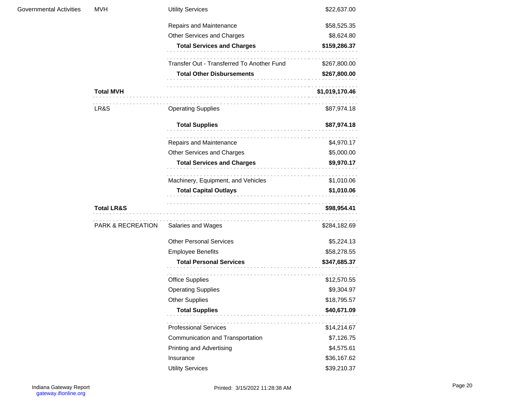| <b>Governmental Activities</b> | <b>MVH</b>            | <b>Utility Services</b>                                  | \$22,637.00    |
|--------------------------------|-----------------------|----------------------------------------------------------|----------------|
|                                |                       | Repairs and Maintenance                                  | \$58,525.35    |
|                                |                       | Other Services and Charges                               | \$8,624.80     |
|                                |                       | <b>Total Services and Charges</b>                        | \$159,286.37   |
|                                |                       | Transfer Out - Transferred To Another Fund               | \$267,800.00   |
|                                |                       | <b>Total Other Disbursements</b><br>.                    | \$267,800.00   |
|                                | <b>Total MVH</b>      |                                                          | \$1,019,170.46 |
|                                | LR&S                  | <b>Operating Supplies</b>                                | \$87,974.18    |
|                                |                       | <b>Total Supplies</b>                                    | \$87,974.18    |
|                                |                       | Repairs and Maintenance                                  | \$4,970.17     |
|                                |                       | Other Services and Charges                               | \$5,000.00     |
|                                |                       | <b>Total Services and Charges</b>                        | \$9,970.17     |
|                                |                       | .<br>Machinery, Equipment, and Vehicles                  | \$1,010.06     |
|                                |                       | <b>Total Capital Outlays</b><br>------------------------ | \$1,010.06     |
|                                | <b>Total LR&amp;S</b> |                                                          | \$98,954.41    |
|                                | PARK & RECREATION     | Salaries and Wages                                       | \$284,182.69   |
|                                |                       | <b>Other Personal Services</b>                           | \$5,224.13     |
|                                |                       | <b>Employee Benefits</b>                                 | \$58,278.55    |
|                                |                       | <b>Total Personal Services</b>                           | \$347,685.37   |
|                                |                       | <b>Office Supplies</b>                                   | \$12,570.55    |
|                                |                       | <b>Operating Supplies</b>                                | \$9,304.97     |
|                                |                       | <b>Other Supplies</b>                                    | \$18,795.57    |
|                                |                       | <b>Total Supplies</b>                                    | \$40,671.09    |
|                                |                       | <b>Professional Services</b>                             | \$14,214.67    |
|                                |                       | Communication and Transportation                         | \$7,126.75     |
|                                |                       | Printing and Advertising                                 | \$4,575.61     |
|                                |                       | Insurance                                                | \$36,167.62    |
|                                |                       | <b>Utility Services</b>                                  | \$39,210.37    |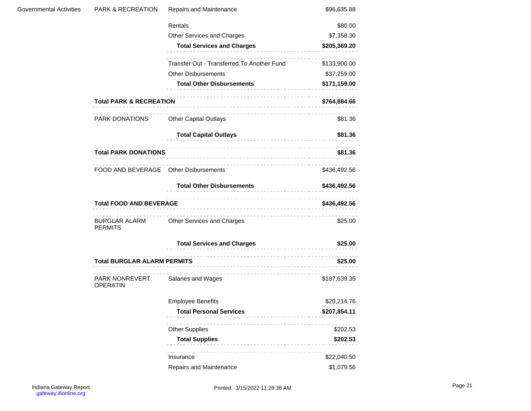| Governmental Activities | <b>PARK &amp; RECREATION</b>          | Repairs and Maintenance                    | \$96,635.88  |
|-------------------------|---------------------------------------|--------------------------------------------|--------------|
|                         |                                       | Rentals                                    | \$80.00      |
|                         |                                       | Other Services and Charges                 | \$7,358.30   |
|                         |                                       | <b>Total Services and Charges</b>          | \$205,369.20 |
|                         |                                       | Transfer Out - Transferred To Another Fund | \$133,900.00 |
|                         |                                       | <b>Other Disbursements</b>                 | \$37,259.00  |
|                         |                                       | <b>Total Other Disbursements</b>           | \$171,159.00 |
|                         | <b>Total PARK &amp; RECREATION</b>    |                                            | \$764,884.66 |
|                         | PARK DONATIONS                        | <b>Other Capital Outlays</b>               | \$81.36      |
|                         |                                       | <b>Total Capital Outlays</b>               | \$81.36      |
|                         | <b>Total PARK DONATIONS</b>           |                                            | \$81.36      |
|                         | FOOD AND BEVERAGE Other Disbursements |                                            | \$436,492.56 |
|                         |                                       | <b>Total Other Disbursements</b>           | \$436,492.56 |
|                         | <b>Total FOOD AND BEVERAGE</b>        | \$436,492.56                               |              |
|                         | BURGLAR ALARM<br><b>PERMITS</b>       | Other Services and Charges                 | \$25.00      |
|                         |                                       | <b>Total Services and Charges</b>          | \$25.00      |
|                         | <b>Total BURGLAR ALARM PERMITS</b>    |                                            | \$25.00      |
|                         | PARK NONREVERT<br><b>OPERATIN</b>     | Salaries and Wages                         | \$187,639.35 |
|                         |                                       | <b>Employee Benefits</b>                   | \$20,214.76  |
|                         |                                       | <b>Total Personal Services</b>             | \$207,854.11 |
|                         |                                       | <b>Other Supplies</b>                      | \$202.53     |
|                         |                                       | <b>Total Supplies</b>                      | \$202.53     |
|                         |                                       | Insurance                                  | \$22,040.50  |
|                         |                                       | Repairs and Maintenance                    | \$1,079.56   |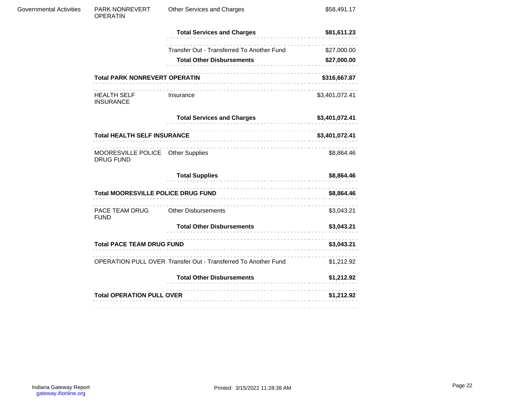|                         | <b>Total HEALTH SELF INSURANCE</b>       |                                            | \$3,401,072.41 |
|-------------------------|------------------------------------------|--------------------------------------------|----------------|
|                         |                                          | <b>Total Services and Charges</b>          | \$3,401,072.41 |
|                         | <b>HEALTH SELF</b><br><b>INSURANCE</b>   | Insurance                                  | \$3,401,072.41 |
|                         | <b>Total PARK NONREVERT OPERATIN</b>     |                                            | \$316,667.87   |
|                         |                                          | <b>Total Other Disbursements</b>           | \$27,000.00    |
|                         |                                          | Transfer Out - Transferred To Another Fund | \$27,000.00    |
|                         |                                          | <b>Total Services and Charges</b>          | \$81,611.23    |
| Governmental Activities | <b>PARK NONREVERT</b><br><b>OPERATIN</b> | Other Services and Charges                 | \$58,491.17    |

| MOORESVILLE POLICE Other Supplies |  |  | \$8.864.46 |
|-----------------------------------|--|--|------------|
| DRUG FUND                         |  |  |            |

|                                           | <b>Total Supplies</b>                                          | \$8,864.46 |
|-------------------------------------------|----------------------------------------------------------------|------------|
| <b>Total MOORESVILLE POLICE DRUG FUND</b> | \$8,864.46                                                     |            |
| PACE TEAM DRUG<br><b>FUND</b>             | <b>Other Disbursements</b>                                     | \$3,043.21 |
|                                           | <b>Total Other Disbursements</b>                               | \$3,043.21 |
| <b>Total PACE TEAM DRUG FUND</b>          | \$3,043.21                                                     |            |
|                                           | OPERATION PULL OVER Transfer Out - Transferred To Another Fund | \$1,212.92 |
|                                           | <b>Total Other Disbursements</b>                               | \$1,212.92 |
| <b>Total OPERATION PULL OVER</b>          | \$1,212.92                                                     |            |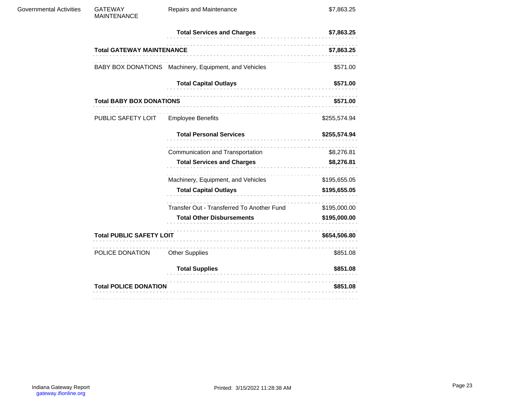| <b>Governmental Activities</b> | <b>GATEWAY</b><br><b>MAINTENANCE</b> | Repairs and Maintenance                               | \$7,863.25   |
|--------------------------------|--------------------------------------|-------------------------------------------------------|--------------|
|                                |                                      | <b>Total Services and Charges</b>                     | \$7,863.25   |
|                                | <b>Total GATEWAY MAINTENANCE</b>     |                                                       | \$7,863.25   |
|                                |                                      | BABY BOX DONATIONS Machinery, Equipment, and Vehicles | \$571.00     |
|                                |                                      | <b>Total Capital Outlays</b>                          | \$571.00     |
|                                | <b>Total BABY BOX DONATIONS</b>      | \$571.00                                              |              |
|                                | PUBLIC SAFETY LOIT                   | <b>Employee Benefits</b>                              | \$255,574.94 |
|                                |                                      | <b>Total Personal Services</b>                        | \$255,574.94 |
|                                |                                      | .<br>Communication and Transportation                 | \$8,276.81   |
|                                |                                      | <b>Total Services and Charges</b>                     | \$8,276.81   |
|                                |                                      | Machinery, Equipment, and Vehicles                    | \$195,655.05 |
|                                |                                      | <b>Total Capital Outlays</b><br>.                     | \$195,655.05 |
|                                |                                      | Transfer Out - Transferred To Another Fund            | \$195,000.00 |
|                                |                                      | <b>Total Other Disbursements</b>                      | \$195,000.00 |
|                                | <b>Total PUBLIC SAFETY LOIT</b>      |                                                       | \$654,506.80 |
|                                | POLICE DONATION                      | <b>Other Supplies</b>                                 | \$851.08     |
|                                |                                      | <b>Total Supplies</b>                                 | \$851.08     |
|                                | <b>Total POLICE DONATION</b>         |                                                       | \$851.08     |
|                                |                                      |                                                       |              |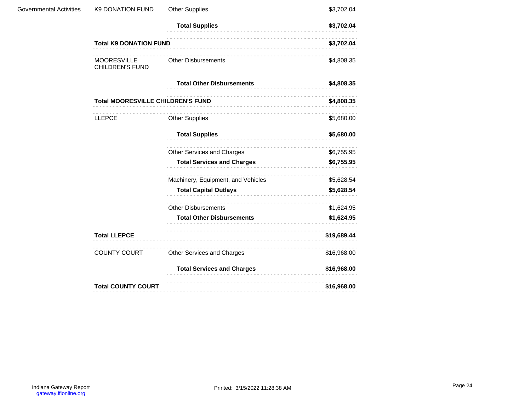| <b>Governmental Activities</b> | <b>K9 DONATION FUND</b>                  | <b>Other Supplies</b>              | \$3,702.04  |
|--------------------------------|------------------------------------------|------------------------------------|-------------|
|                                |                                          | <b>Total Supplies</b>              | \$3,702.04  |
|                                | <b>Total K9 DONATION FUND</b>            |                                    | \$3,702.04  |
|                                | MOORESVILLE<br><b>CHILDREN'S FUND</b>    | <b>Other Disbursements</b>         | \$4,808.35  |
|                                |                                          | <b>Total Other Disbursements</b>   | \$4,808.35  |
|                                | <b>Total MOORESVILLE CHILDREN'S FUND</b> | \$4,808.35                         |             |
|                                | <b>LLEPCE</b>                            | <b>Other Supplies</b>              | \$5,680.00  |
|                                |                                          | <b>Total Supplies</b>              | \$5,680.00  |
|                                |                                          | Other Services and Charges         | \$6,755.95  |
|                                |                                          | Total Services and Charges         | \$6,755.95  |
|                                |                                          | Machinery, Equipment, and Vehicles | \$5,628.54  |
|                                |                                          | <b>Total Capital Outlays</b>       | \$5,628.54  |
|                                |                                          | <b>Other Disbursements</b>         | \$1,624.95  |
|                                |                                          | <b>Total Other Disbursements</b>   | \$1,624.95  |
|                                | <b>Total LLEPCE</b>                      |                                    | \$19,689.44 |
|                                | COUNTY COURT                             | Other Services and Charges         | \$16,968.00 |
|                                |                                          | <b>Total Services and Charges</b>  | \$16,968.00 |
|                                | <b>Total COUNTY COURT</b>                |                                    | \$16,968.00 |
|                                |                                          |                                    |             |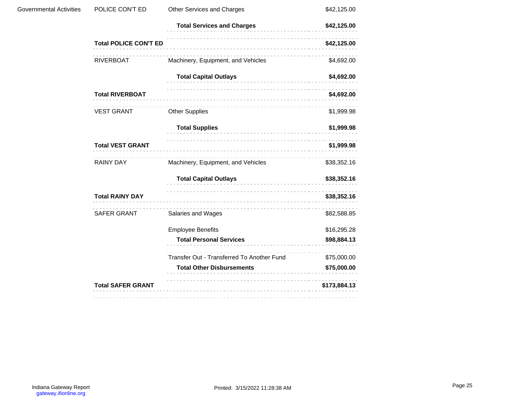| <b>Governmental Activities</b> | POLICE CON'T ED              | Other Services and Charges                 | \$42,125.00  |
|--------------------------------|------------------------------|--------------------------------------------|--------------|
|                                |                              | <b>Total Services and Charges</b>          | \$42,125.00  |
|                                | <b>Total POLICE CON'T ED</b> |                                            | \$42,125.00  |
|                                | RIVERBOAT                    | Machinery, Equipment, and Vehicles         | \$4,692.00   |
|                                |                              | <b>Total Capital Outlays</b>               | \$4,692.00   |
|                                | <b>Total RIVERBOAT</b>       |                                            | \$4,692.00   |
|                                | <b>VEST GRANT</b>            | <b>Other Supplies</b>                      | \$1,999.98   |
|                                |                              | <b>Total Supplies</b>                      | \$1,999.98   |
|                                | <b>Total VEST GRANT</b>      |                                            | \$1,999.98   |
|                                | RAINY DAY                    | Machinery, Equipment, and Vehicles         | \$38,352.16  |
|                                |                              | <b>Total Capital Outlays</b>               | \$38,352.16  |
|                                | <b>Total RAINY DAY</b>       |                                            | \$38,352.16  |
|                                | SAFER GRANT                  | Salaries and Wages                         | \$82,588.85  |
|                                |                              | <b>Employee Benefits</b>                   | \$16,295.28  |
|                                |                              | <b>Total Personal Services</b>             | \$98,884.13  |
|                                |                              | Transfer Out - Transferred To Another Fund | \$75,000.00  |
|                                |                              | <b>Total Other Disbursements</b>           | \$75,000.00  |
|                                | <b>Total SAFER GRANT</b>     |                                            | \$173,884.13 |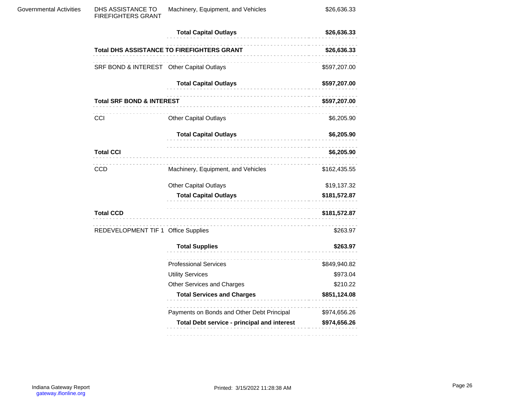| <b>Total Capital Outlays</b><br>\$26,636.33<br>Total DHS ASSISTANCE TO FIREFIGHTERS GRANT<br>\$26,636.33<br>SRF BOND & INTEREST Other Capital Outlays<br>\$597,207.00<br><b>Total Capital Outlays</b><br>\$597,207.00<br><b>Total SRF BOND &amp; INTEREST</b><br>\$597,207.00<br><b>CCI</b><br><b>Other Capital Outlays</b><br>\$6,205.90<br><b>Total Capital Outlays</b><br>\$6,205.90<br><b>Total CCI</b><br>\$6,205.90<br><b>CCD</b><br>Machinery, Equipment, and Vehicles<br>\$162,435.55 |
|-----------------------------------------------------------------------------------------------------------------------------------------------------------------------------------------------------------------------------------------------------------------------------------------------------------------------------------------------------------------------------------------------------------------------------------------------------------------------------------------------|
|                                                                                                                                                                                                                                                                                                                                                                                                                                                                                               |
|                                                                                                                                                                                                                                                                                                                                                                                                                                                                                               |
|                                                                                                                                                                                                                                                                                                                                                                                                                                                                                               |
|                                                                                                                                                                                                                                                                                                                                                                                                                                                                                               |
|                                                                                                                                                                                                                                                                                                                                                                                                                                                                                               |
|                                                                                                                                                                                                                                                                                                                                                                                                                                                                                               |
|                                                                                                                                                                                                                                                                                                                                                                                                                                                                                               |
|                                                                                                                                                                                                                                                                                                                                                                                                                                                                                               |
|                                                                                                                                                                                                                                                                                                                                                                                                                                                                                               |
| <b>Other Capital Outlays</b><br>\$19,137.32                                                                                                                                                                                                                                                                                                                                                                                                                                                   |
| <b>Total Capital Outlays</b><br>\$181,572.87                                                                                                                                                                                                                                                                                                                                                                                                                                                  |
| <b>Total CCD</b><br>\$181,572.87                                                                                                                                                                                                                                                                                                                                                                                                                                                              |
| REDEVELOPMENT TIF 1 Office Supplies<br>\$263.97                                                                                                                                                                                                                                                                                                                                                                                                                                               |
| <b>Total Supplies</b><br>\$263.97<br>-----------------------                                                                                                                                                                                                                                                                                                                                                                                                                                  |
| <b>Professional Services</b><br>\$849,940.82                                                                                                                                                                                                                                                                                                                                                                                                                                                  |
| <b>Utility Services</b><br>\$973.04                                                                                                                                                                                                                                                                                                                                                                                                                                                           |
| Other Services and Charges<br>\$210.22                                                                                                                                                                                                                                                                                                                                                                                                                                                        |
| <b>Total Services and Charges</b><br>\$851,124.08                                                                                                                                                                                                                                                                                                                                                                                                                                             |
| Payments on Bonds and Other Debt Principal<br>\$974,656.26                                                                                                                                                                                                                                                                                                                                                                                                                                    |
| Total Debt service - principal and interest<br>\$974,656.26                                                                                                                                                                                                                                                                                                                                                                                                                                   |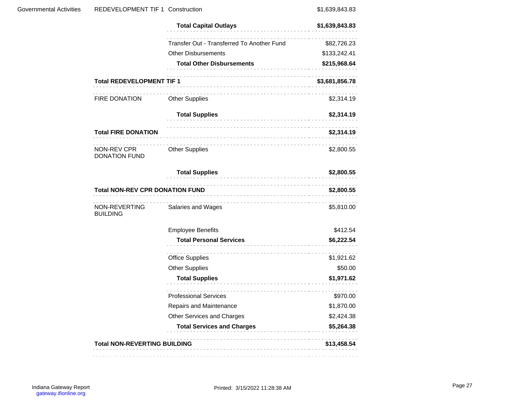| Governmental Activities | <b>REDEVELOPMENT TIF 1 Construction</b>                        |                                            | \$1,639,843.83 |
|-------------------------|----------------------------------------------------------------|--------------------------------------------|----------------|
|                         |                                                                | <b>Total Capital Outlays</b>               | \$1,639,843.83 |
|                         |                                                                | Transfer Out - Transferred To Another Fund | \$82,726.23    |
|                         |                                                                | <b>Other Disbursements</b>                 | \$133,242.41   |
|                         |                                                                | <b>Total Other Disbursements</b>           | \$215,968.64   |
|                         | <b>Total REDEVELOPMENT TIF 1</b>                               |                                            | \$3,681,856.78 |
|                         | <b>FIRE DONATION</b>                                           | <b>Other Supplies</b>                      | \$2,314.19     |
|                         |                                                                | <b>Total Supplies</b>                      | \$2,314.19     |
|                         | <b>Total FIRE DONATION</b>                                     |                                            | \$2,314.19     |
|                         | NON-REV CPR<br><b>DONATION FUND</b>                            | <b>Other Supplies</b>                      | \$2,800.55     |
|                         |                                                                | <b>Total Supplies</b><br>.                 | \$2,800.55     |
|                         | <b>Total NON-REV CPR DONATION FUND</b><br>-------------------- |                                            | \$2,800.55     |
|                         | NON-REVERTING<br><b>BUILDING</b>                               | Salaries and Wages                         | \$5,810.00     |
|                         |                                                                | <b>Employee Benefits</b>                   | \$412.54       |
|                         |                                                                | <b>Total Personal Services</b>             | \$6,222.54     |
|                         |                                                                | <b>Office Supplies</b>                     | \$1,921.62     |
|                         |                                                                | <b>Other Supplies</b>                      | \$50.00        |
|                         |                                                                | <b>Total Supplies</b>                      | \$1,971.62     |
|                         |                                                                | <b>Professional Services</b>               | \$970.00       |
|                         |                                                                | Repairs and Maintenance                    | \$1,870.00     |
|                         |                                                                | Other Services and Charges                 | \$2,424.38     |
|                         |                                                                | <b>Total Services and Charges</b>          | \$5,264.38     |
|                         | <b>Total NON-REVERTING BUILDING</b>                            |                                            | \$13,458.54    |
|                         |                                                                |                                            |                |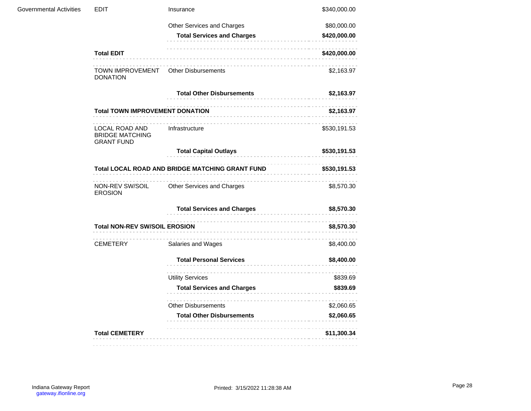| Governmental Activities | <b>EDIT</b>                                                   | Insurance                         | \$340,000.00 |
|-------------------------|---------------------------------------------------------------|-----------------------------------|--------------|
|                         |                                                               | Other Services and Charges        | \$80,000.00  |
|                         |                                                               | <b>Total Services and Charges</b> | \$420,000.00 |
|                         | <b>Total EDIT</b>                                             |                                   | \$420,000.00 |
|                         | TOWN IMPROVEMENT<br><b>DONATION</b>                           | <b>Other Disbursements</b>        | \$2,163.97   |
|                         |                                                               | <b>Total Other Disbursements</b>  | \$2,163.97   |
|                         | <b>Total TOWN IMPROVEMENT DONATION</b>                        |                                   | \$2,163.97   |
|                         | LOCAL ROAD AND<br><b>BRIDGE MATCHING</b><br><b>GRANT FUND</b> | Infrastructure                    | \$530,191.53 |
|                         |                                                               | <b>Total Capital Outlays</b>      | \$530,191.53 |
|                         | Total LOCAL ROAD AND BRIDGE MATCHING GRANT FUND               |                                   | \$530,191.53 |
|                         | NON-REV SW/SOIL<br><b>EROSION</b>                             | Other Services and Charges        | \$8,570.30   |
|                         |                                                               | <b>Total Services and Charges</b> | \$8,570.30   |
|                         | <b>Total NON-REV SW/SOIL EROSION</b>                          |                                   | \$8,570.30   |
|                         | CEMETERY                                                      | Salaries and Wages                | \$8,400.00   |
|                         |                                                               | <b>Total Personal Services</b>    | \$8,400.00   |
|                         |                                                               | <b>Utility Services</b>           | \$839.69     |
|                         |                                                               | <b>Total Services and Charges</b> | \$839.69     |
|                         |                                                               | <b>Other Disbursements</b>        | \$2,060.65   |
|                         |                                                               | <b>Total Other Disbursements</b>  | \$2,060.65   |
|                         | <b>Total CEMETERY</b>                                         |                                   | \$11,300.34  |
|                         |                                                               |                                   |              |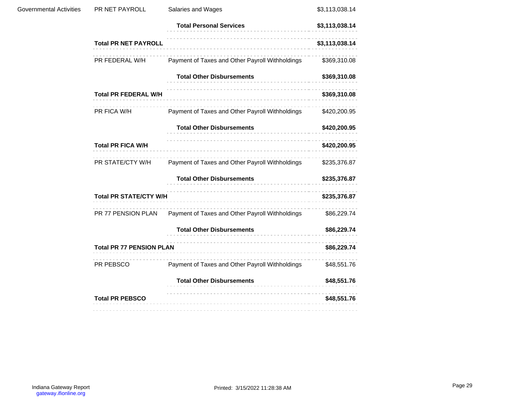| <b>Governmental Activities</b> | PR NET PAYROLL                  | Salaries and Wages                              | \$3,113,038.14 |
|--------------------------------|---------------------------------|-------------------------------------------------|----------------|
|                                |                                 | <b>Total Personal Services</b>                  | \$3,113,038.14 |
|                                | <b>Total PR NET PAYROLL</b>     |                                                 | \$3,113,038.14 |
|                                | PR FEDERAL W/H                  | Payment of Taxes and Other Payroll Withholdings | \$369,310.08   |
|                                |                                 | <b>Total Other Disbursements</b>                | \$369,310.08   |
|                                | <b>Total PR FEDERAL W/H</b>     |                                                 | \$369,310.08   |
|                                | PR FICA W/H                     | Payment of Taxes and Other Payroll Withholdings | \$420,200.95   |
|                                |                                 | <b>Total Other Disbursements</b>                | \$420,200.95   |
|                                | <b>Total PR FICA W/H</b>        |                                                 | \$420,200.95   |
|                                | PR STATE/CTY W/H                | Payment of Taxes and Other Payroll Withholdings | \$235,376.87   |
|                                |                                 | <b>Total Other Disbursements</b>                | \$235,376.87   |
|                                | <b>Total PR STATE/CTY W/H</b>   |                                                 | \$235,376.87   |
|                                | PR 77 PENSION PLAN              | Payment of Taxes and Other Payroll Withholdings | \$86,229.74    |
|                                |                                 | <b>Total Other Disbursements</b>                | \$86,229.74    |
|                                | <b>Total PR 77 PENSION PLAN</b> |                                                 | \$86,229.74    |
|                                | PR PEBSCO                       | Payment of Taxes and Other Payroll Withholdings | \$48,551.76    |
|                                |                                 | <b>Total Other Disbursements</b>                | \$48,551.76    |
|                                | <b>Total PR PEBSCO</b>          |                                                 | \$48,551.76    |
|                                |                                 |                                                 |                |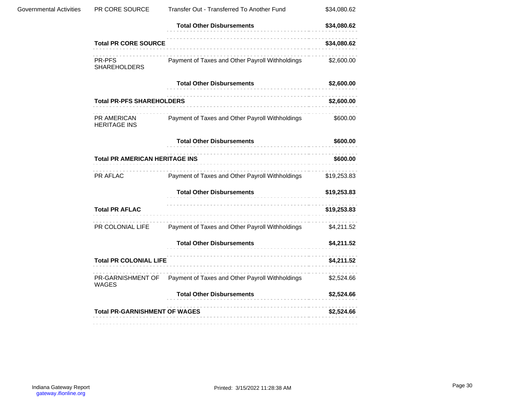| <b>Governmental Activities</b> | PR CORE SOURCE                                    | Transfer Out - Transferred To Another Fund      | \$34,080.62 |  |
|--------------------------------|---------------------------------------------------|-------------------------------------------------|-------------|--|
|                                |                                                   | <b>Total Other Disbursements</b>                | \$34,080.62 |  |
|                                | <b>Total PR CORE SOURCE</b>                       |                                                 | \$34,080.62 |  |
|                                | <b>PR-PFS</b><br><b>SHAREHOLDERS</b>              | Payment of Taxes and Other Payroll Withholdings | \$2,600.00  |  |
|                                |                                                   | <b>Total Other Disbursements</b>                | \$2,600.00  |  |
|                                | <b>Total PR-PFS SHAREHOLDERS</b>                  |                                                 | \$2,600.00  |  |
|                                | PR AMERICAN<br><b>HERITAGE INS</b>                | Payment of Taxes and Other Payroll Withholdings | \$600.00    |  |
|                                |                                                   | <b>Total Other Disbursements</b>                | \$600.00    |  |
|                                | <b>Total PR AMERICAN HERITAGE INS</b><br>\$600.00 |                                                 |             |  |
|                                | PR AFLAC                                          | Payment of Taxes and Other Payroll Withholdings | \$19,253.83 |  |
|                                |                                                   | <b>Total Other Disbursements</b>                | \$19,253.83 |  |
|                                | <b>Total PR AFLAC</b>                             |                                                 | \$19,253.83 |  |
|                                | PR COLONIAL LIFE                                  | Payment of Taxes and Other Payroll Withholdings | \$4,211.52  |  |
|                                |                                                   | <b>Total Other Disbursements</b>                | \$4,211.52  |  |
|                                | <b>Total PR COLONIAL LIFE</b>                     |                                                 | \$4,211.52  |  |
|                                | PR-GARNISHMENT OF<br><b>WAGES</b>                 | Payment of Taxes and Other Payroll Withholdings | \$2,524.66  |  |
|                                |                                                   | <b>Total Other Disbursements</b>                | \$2,524.66  |  |
|                                | <b>Total PR-GARNISHMENT OF WAGES</b>              |                                                 | \$2,524.66  |  |
|                                |                                                   |                                                 |             |  |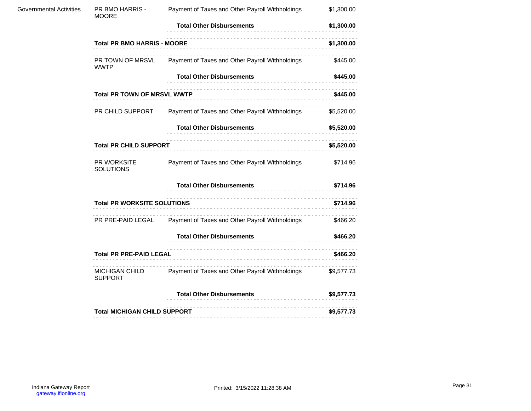| <b>Governmental Activities</b> | PR BMO HARRIS -<br><b>MOORE</b>     | Payment of Taxes and Other Payroll Withholdings                  | \$1,300.00 |
|--------------------------------|-------------------------------------|------------------------------------------------------------------|------------|
|                                |                                     | <b>Total Other Disbursements</b>                                 | \$1,300.00 |
|                                | <b>Total PR BMO HARRIS - MOORE</b>  | \$1,300.00                                                       |            |
|                                | PR TOWN OF MRSVL<br><b>WWTP</b>     | Payment of Taxes and Other Payroll Withholdings                  | \$445.00   |
|                                |                                     | <b>Total Other Disbursements</b>                                 | \$445.00   |
|                                | <b>Total PR TOWN OF MRSVL WWTP</b>  | \$445.00                                                         |            |
|                                |                                     | PR CHILD SUPPORT Payment of Taxes and Other Payroll Withholdings | \$5,520.00 |
|                                |                                     | <b>Total Other Disbursements</b>                                 |            |
|                                | <b>Total PR CHILD SUPPORT</b>       |                                                                  | \$5,520.00 |
|                                | PR WORKSITE<br><b>SOLUTIONS</b>     | Payment of Taxes and Other Payroll Withholdings                  | \$714.96   |
|                                |                                     | <b>Total Other Disbursements</b>                                 | \$714.96   |
|                                | <b>Total PR WORKSITE SOLUTIONS</b>  |                                                                  | \$714.96   |
|                                | PR PRE-PAID LEGAL                   | Payment of Taxes and Other Payroll Withholdings                  | \$466.20   |
|                                |                                     | <b>Total Other Disbursements</b>                                 | \$466.20   |
|                                | <b>Total PR PRE-PAID LEGAL</b>      |                                                                  | \$466.20   |
|                                | <b>SUPPORT</b>                      | MICHIGAN CHILD Payment of Taxes and Other Payroll Withholdings   | \$9,577.73 |
|                                |                                     | <b>Total Other Disbursements</b>                                 | \$9,577.73 |
|                                | <b>Total MICHIGAN CHILD SUPPORT</b> |                                                                  | \$9,577.73 |
|                                |                                     |                                                                  |            |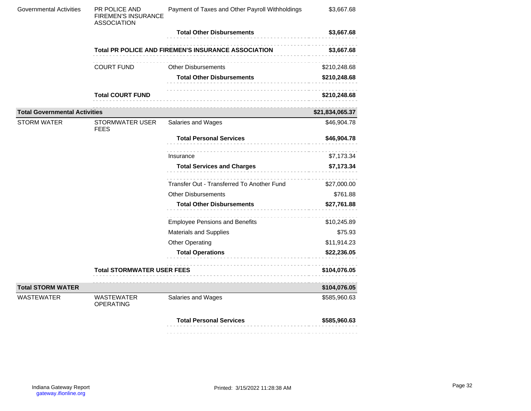| <b>Governmental Activities</b>       | PR POLICE AND<br><b>FIREMEN'S INSURANCE</b><br><b>ASSOCIATION</b> | Payment of Taxes and Other Payroll Withholdings     | \$3,667.68      |
|--------------------------------------|-------------------------------------------------------------------|-----------------------------------------------------|-----------------|
|                                      |                                                                   | <b>Total Other Disbursements</b>                    | \$3,667.68      |
|                                      |                                                                   | Total PR POLICE AND FIREMEN'S INSURANCE ASSOCIATION | \$3,667.68      |
|                                      | <b>COURT FUND</b>                                                 | <b>Other Disbursements</b>                          | \$210,248.68    |
|                                      |                                                                   | <b>Total Other Disbursements</b>                    | \$210,248.68    |
|                                      | <b>Total COURT FUND</b>                                           |                                                     | \$210,248.68    |
| <b>Total Governmental Activities</b> |                                                                   |                                                     | \$21,834,065.37 |
| <b>STORM WATER</b>                   | <b>STORMWATER USER</b><br><b>FEES</b>                             | Salaries and Wages                                  | \$46,904.78     |
|                                      |                                                                   | <b>Total Personal Services</b>                      | \$46,904.78     |
|                                      |                                                                   | Insurance                                           | \$7,173.34      |
|                                      |                                                                   | <b>Total Services and Charges</b>                   | \$7,173.34      |
|                                      |                                                                   | Transfer Out - Transferred To Another Fund          | \$27,000.00     |
|                                      |                                                                   | <b>Other Disbursements</b>                          | \$761.88        |
|                                      |                                                                   | <b>Total Other Disbursements</b>                    | \$27,761.88     |
|                                      |                                                                   | <b>Employee Pensions and Benefits</b>               | \$10,245.89     |
|                                      |                                                                   | <b>Materials and Supplies</b>                       | \$75.93         |
|                                      |                                                                   | <b>Other Operating</b>                              | \$11,914.23     |
|                                      |                                                                   | <b>Total Operations</b><br>--------------------     | \$22,236.05     |
|                                      | <b>Total STORMWATER USER FEES</b>                                 |                                                     | \$104,076.05    |
| <b>Total STORM WATER</b>             |                                                                   |                                                     | \$104,076.05    |
| <b>WASTEWATER</b>                    | <b>WASTEWATER</b><br>OPERATING                                    | Salaries and Wages                                  | \$585,960.63    |
|                                      |                                                                   | <b>Total Personal Services</b>                      | \$585,960.63    |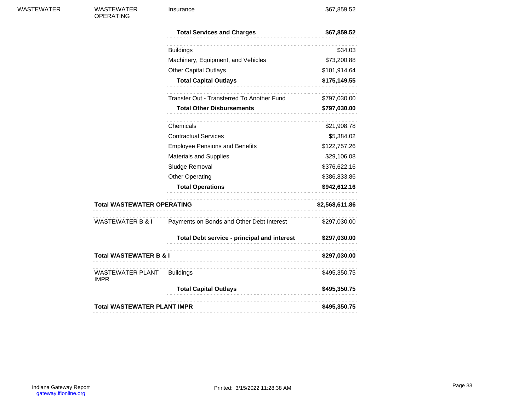| <b>WASTEWATER</b> |  |  |
|-------------------|--|--|
|-------------------|--|--|

WASTEWATER OPERATING

Insurance \$67,859.52

|                                           | <b>Total Services and Charges</b>                          | \$67,859.52    |
|-------------------------------------------|------------------------------------------------------------|----------------|
|                                           | <b>Buildings</b>                                           | \$34.03        |
|                                           | Machinery, Equipment, and Vehicles                         | \$73,200.88    |
|                                           | <b>Other Capital Outlays</b>                               | \$101,914.64   |
|                                           | <b>Total Capital Outlays</b><br>.                          | \$175,149.55   |
|                                           | Transfer Out - Transferred To Another Fund                 | \$797,030.00   |
|                                           | <b>Total Other Disbursements</b>                           | \$797,030.00   |
|                                           | Chemicals                                                  | \$21,908.78    |
|                                           | <b>Contractual Services</b>                                | \$5,384.02     |
|                                           | <b>Employee Pensions and Benefits</b>                      | \$122,757.26   |
|                                           | <b>Materials and Supplies</b>                              | \$29,106.08    |
|                                           | Sludge Removal                                             | \$376,622.16   |
|                                           | <b>Other Operating</b>                                     | \$386,833.86   |
|                                           | <b>Total Operations</b>                                    | \$942,612.16   |
| <b>Total WASTEWATER OPERATING</b>         |                                                            | \$2,568,611.86 |
|                                           | WASTEWATER B & I Payments on Bonds and Other Debt Interest | \$297,030.00   |
|                                           | Total Debt service - principal and interest \$297,030.00   |                |
| <b>Total WASTEWATER B &amp; I</b>         |                                                            | \$297,030.00   |
| WASTEWATER PLANT Buildings<br><b>IMPR</b> |                                                            | \$495,350.75   |
|                                           | <b>Total Capital Outlays</b><br>--------------------       | \$495,350.75   |
| <b>Total WASTEWATER PLANT IMPR</b>        |                                                            | \$495,350.75   |
|                                           |                                                            |                |

 $\frac{1}{2} \left( \frac{1}{2} \right) = \frac{1}{2} \left( \frac{1}{2} \right)$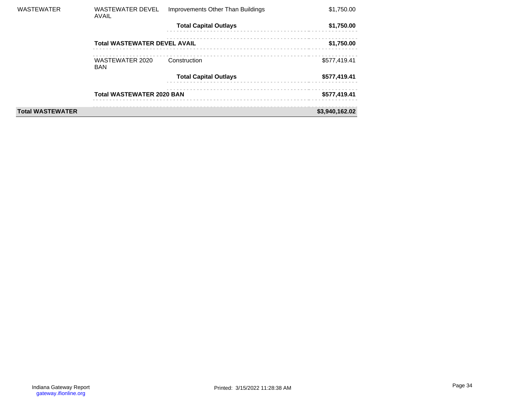| <b>WASTEWATER</b>       | <b>WASTEWATER DEVEL</b><br>AVAIL    | Improvements Other Than Buildings | \$1,750.00     |
|-------------------------|-------------------------------------|-----------------------------------|----------------|
|                         |                                     | <b>Total Capital Outlays</b>      | \$1,750.00     |
|                         | <b>Total WASTEWATER DEVEL AVAIL</b> |                                   | \$1,750.00     |
|                         | WASTEWATER 2020<br><b>BAN</b>       | Construction                      | \$577,419.41   |
|                         |                                     | <b>Total Capital Outlays</b>      | \$577,419.41   |
|                         | <b>Total WASTEWATER 2020 BAN</b>    |                                   | \$577,419.41   |
| <b>Total WASTEWATER</b> |                                     |                                   | \$3,940,162.02 |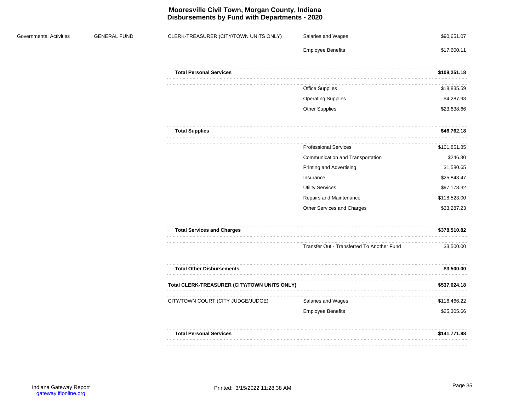# **Mooresville Civil Town, Morgan County, Indiana Disbursements by Fund with Departments - 2020**

| Governmental Activities | <b>GENERAL FUND</b> | CLERK-TREASURER (CITY/TOWN UNITS ONLY)                                                 | Salaries and Wages                         | \$90,651.07  |
|-------------------------|---------------------|----------------------------------------------------------------------------------------|--------------------------------------------|--------------|
|                         |                     |                                                                                        | <b>Employee Benefits</b>                   | \$17,600.11  |
|                         |                     | <b>Total Personal Services</b><br>$\alpha$ , $\alpha$ , $\alpha$ , $\alpha$ , $\alpha$ |                                            | \$108,251.18 |
|                         |                     |                                                                                        | Office Supplies                            | \$18,835.59  |
|                         |                     |                                                                                        | <b>Operating Supplies</b>                  | \$4,287.93   |
|                         |                     |                                                                                        | <b>Other Supplies</b>                      | \$23,638.66  |
|                         |                     | <b>Total Supplies</b>                                                                  |                                            | \$46,762.18  |
|                         |                     |                                                                                        | <b>Professional Services</b>               | \$101,851.85 |
|                         |                     |                                                                                        | Communication and Transportation           | \$246.30     |
|                         |                     |                                                                                        | Printing and Advertising                   | \$1,580.65   |
|                         |                     |                                                                                        | Insurance                                  | \$25,843.47  |
|                         |                     |                                                                                        | <b>Utility Services</b>                    | \$97,178.32  |
|                         |                     |                                                                                        | Repairs and Maintenance                    | \$118,523.00 |
|                         |                     |                                                                                        | Other Services and Charges                 | \$33,287.23  |
|                         |                     | <b>Total Services and Charges</b>                                                      |                                            | \$378,510.82 |
|                         |                     |                                                                                        | Transfer Out - Transferred To Another Fund | \$3,500.00   |
|                         |                     | <b>Total Other Disbursements</b>                                                       |                                            | \$3,500.00   |
|                         |                     | Total CLERK-TREASURER (CITY/TOWN UNITS ONLY)                                           |                                            | \$537,024.18 |
|                         |                     | CITY/TOWN COURT (CITY JUDGE/JUDGE)                                                     | Salaries and Wages                         | \$116,466.22 |
|                         |                     |                                                                                        | <b>Employee Benefits</b>                   | \$25,305.66  |
|                         |                     | <b>Total Personal Services</b>                                                         |                                            | \$141,771.88 |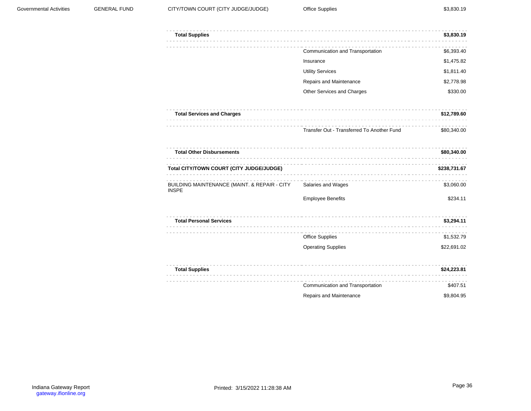| <b>Total Supplies</b>                                        |                                            | \$3,830.19   |
|--------------------------------------------------------------|--------------------------------------------|--------------|
|                                                              | Communication and Transportation           | \$6,393.40   |
|                                                              | Insurance                                  | \$1,475.82   |
|                                                              | <b>Utility Services</b>                    | \$1,811.40   |
|                                                              | Repairs and Maintenance                    | \$2,778.98   |
|                                                              | Other Services and Charges                 | \$330.00     |
| <b>Total Services and Charges</b>                            |                                            | \$12,789.60  |
|                                                              | Transfer Out - Transferred To Another Fund | \$80,340.00  |
| <b>Total Other Disbursements</b>                             |                                            | \$80,340.00  |
| Total CITY/TOWN COURT (CITY JUDGE/JUDGE)                     |                                            | \$238,731.67 |
| BUILDING MAINTENANCE (MAINT. & REPAIR - CITY<br><b>INSPE</b> | Salaries and Wages                         | \$3,060.00   |
|                                                              | <b>Employee Benefits</b>                   | \$234.11     |
| <b>Total Personal Services</b>                               |                                            | \$3,294.11   |
|                                                              | <b>Office Supplies</b>                     | \$1,532.79   |
|                                                              | <b>Operating Supplies</b>                  | \$22,691.02  |
| <b>Total Supplies</b>                                        |                                            | \$24,223.81  |
|                                                              | Communication and Transportation           | \$407.51     |
|                                                              |                                            |              |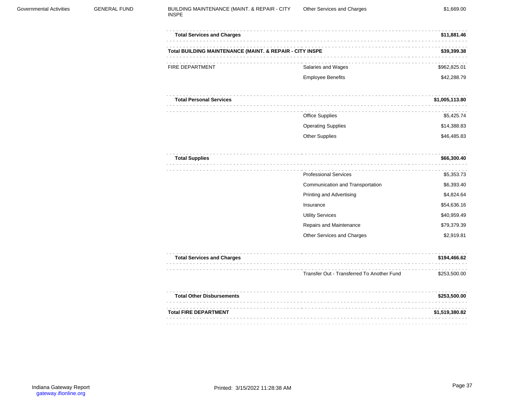| <b>Total Services and Charges</b>                        |                                            | \$11,881.46    |
|----------------------------------------------------------|--------------------------------------------|----------------|
| Total BUILDING MAINTENANCE (MAINT. & REPAIR - CITY INSPE |                                            | \$39,399.38    |
| <b>FIRE DEPARTMENT</b>                                   | Salaries and Wages                         | \$962,825.01   |
|                                                          | <b>Employee Benefits</b>                   | \$42,288.79    |
| <b>Total Personal Services</b>                           |                                            | \$1,005,113.80 |
|                                                          | Office Supplies                            | \$5,425.74     |
|                                                          | <b>Operating Supplies</b>                  | \$14,388.83    |
|                                                          | <b>Other Supplies</b>                      | \$46,485.83    |
| <b>Total Supplies</b>                                    | .                                          | \$66,300.40    |
|                                                          | <b>Professional Services</b>               | \$5,353.73     |
|                                                          | Communication and Transportation           | \$6,393.40     |
|                                                          | Printing and Advertising                   | \$4,824.64     |
|                                                          | Insurance                                  | \$54,636.16    |
|                                                          | <b>Utility Services</b>                    | \$40,959.49    |
|                                                          | Repairs and Maintenance                    | \$79,379.39    |
|                                                          | Other Services and Charges                 | \$2,919.81     |
| <b>Total Services and Charges</b>                        |                                            | \$194,466.62   |
|                                                          | Transfer Out - Transferred To Another Fund | \$253,500.00   |
| <b>Total Other Disbursements</b>                         | ----------------                           | \$253,500.00   |
| <b>Total FIRE DEPARTMENT</b>                             |                                            | \$1,519,380.82 |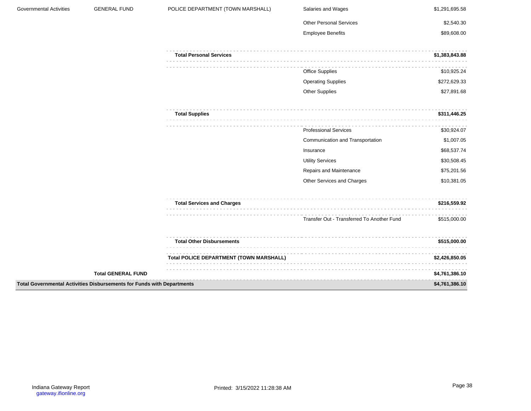| Governmental Activities | <b>GENERAL FUND</b>                                                    | POLICE DEPARTMENT (TOWN MARSHALL)       | Salaries and Wages                         | \$1,291,695.58 |
|-------------------------|------------------------------------------------------------------------|-----------------------------------------|--------------------------------------------|----------------|
|                         |                                                                        |                                         | <b>Other Personal Services</b>             | \$2,540.30     |
|                         |                                                                        |                                         | <b>Employee Benefits</b>                   | \$89,608.00    |
|                         |                                                                        | <b>Total Personal Services</b>          |                                            | \$1,383,843.88 |
|                         |                                                                        |                                         | Office Supplies                            | \$10,925.24    |
|                         |                                                                        |                                         | <b>Operating Supplies</b>                  | \$272,629.33   |
|                         |                                                                        |                                         | Other Supplies                             | \$27,891.68    |
|                         |                                                                        | <b>Total Supplies</b>                   |                                            | \$311,446.25   |
|                         |                                                                        |                                         | <b>Professional Services</b>               | \$30,924.07    |
|                         |                                                                        |                                         | Communication and Transportation           | \$1,007.05     |
|                         |                                                                        |                                         | Insurance                                  | \$68,537.74    |
|                         |                                                                        |                                         | <b>Utility Services</b>                    | \$30,508.45    |
|                         |                                                                        |                                         | Repairs and Maintenance                    | \$75,201.56    |
|                         |                                                                        |                                         | Other Services and Charges                 | \$10,381.05    |
|                         |                                                                        | <b>Total Services and Charges</b>       |                                            | \$216,559.92   |
|                         |                                                                        |                                         | Transfer Out - Transferred To Another Fund | \$515,000.00   |
|                         |                                                                        | <b>Total Other Disbursements</b>        |                                            | \$515,000.00   |
|                         |                                                                        | Total POLICE DEPARTMENT (TOWN MARSHALL) |                                            | \$2,426,850.05 |
|                         | <b>Total GENERAL FUND</b>                                              |                                         |                                            | \$4,761,386.10 |
|                         | Total Governmental Activities Disbursements for Funds with Departments |                                         |                                            | \$4,761,386.10 |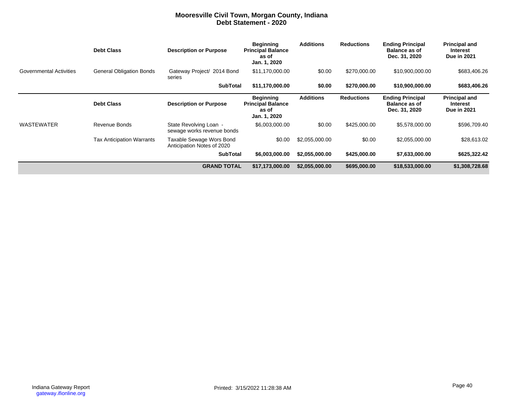### **Mooresville Civil Town, Morgan County, Indiana Debt Statement - 2020**

|                                | <b>Debt Class</b>                | <b>Description or Purpose</b>                          | <b>Beginning</b><br><b>Principal Balance</b><br>as of<br>Jan. 1, 2020 | <b>Additions</b> | <b>Reductions</b> | <b>Ending Principal</b><br><b>Balance as of</b><br>Dec. 31, 2020 | <b>Principal and</b><br>Interest<br><b>Due in 2021</b> |
|--------------------------------|----------------------------------|--------------------------------------------------------|-----------------------------------------------------------------------|------------------|-------------------|------------------------------------------------------------------|--------------------------------------------------------|
| <b>Governmental Activities</b> | <b>General Obligation Bonds</b>  | Gateway Project/ 2014 Bond<br>series                   | \$11,170,000.00                                                       | \$0.00           | \$270,000.00      | \$10,900,000.00                                                  | \$683,406.26                                           |
|                                |                                  | <b>SubTotal</b>                                        | \$11,170,000.00                                                       | \$0.00           | \$270,000,00      | \$10,900,000.00                                                  | \$683,406.26                                           |
|                                | <b>Debt Class</b>                | <b>Description or Purpose</b>                          | <b>Beginning</b><br><b>Principal Balance</b><br>as of<br>Jan. 1, 2020 | <b>Additions</b> | <b>Reductions</b> | <b>Ending Principal</b><br><b>Balance as of</b><br>Dec. 31, 2020 | <b>Principal and</b><br>Interest<br><b>Due in 2021</b> |
| <b>WASTEWATER</b>              | Revenue Bonds                    | State Revolving Loan -<br>sewage works revenue bonds   | \$6,003,000.00                                                        | \$0.00           | \$425,000.00      | \$5,578,000.00                                                   | \$596,709.40                                           |
|                                | <b>Tax Anticipation Warrants</b> | Taxable Sewage Wors Bond<br>Anticipation Notes of 2020 | \$0.00                                                                | \$2,055,000.00   | \$0.00            | \$2,055,000.00                                                   | \$28,613.02                                            |
|                                |                                  | <b>SubTotal</b>                                        | \$6,003,000.00                                                        | \$2,055,000.00   | \$425,000.00      | \$7,633,000.00                                                   | \$625,322.42                                           |
|                                |                                  | <b>GRAND TOTAL</b>                                     | \$17,173,000.00                                                       | \$2,055,000.00   | \$695,000.00      | \$18,533,000.00                                                  | \$1,308,728.68                                         |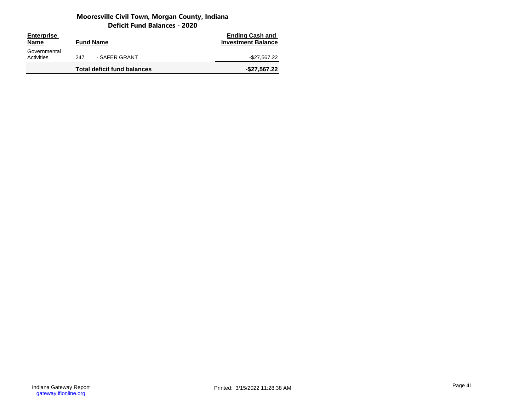# **Mooresville Civil Town, Morgan County, Indiana Deficit Fund Balances - 2020**

| <b>Enterprise</b><br><b>Name</b> | <b>Fund Name</b>                   | <b>Ending Cash and</b><br><b>Investment Balance</b> |
|----------------------------------|------------------------------------|-----------------------------------------------------|
| Governmental<br>Activities       | - SAFER GRANT<br>247               | -\$27,567.22                                        |
|                                  | <b>Total deficit fund balances</b> | $-$27,567.22$                                       |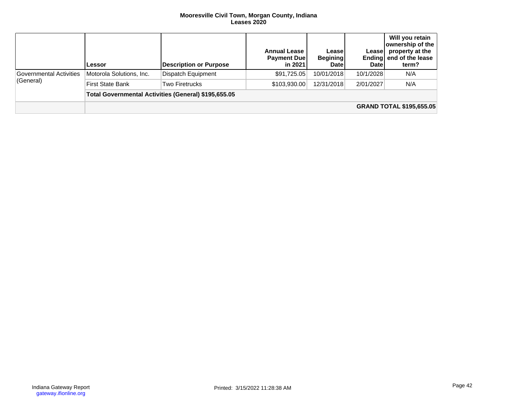#### **Mooresville Civil Town, Morgan County, Indiana Leases 2020**

|                                      | Lessor                                               | Description or Purpose | <b>Annual Lease</b><br><b>Payment Due</b><br>in 2021 | Lease<br><b>Begining</b><br><b>Date</b> | Leasel<br><b>Date</b> | Will you retain<br>ownership of the<br>property at the<br>Ending end of the lease<br>term? |  |  |  |
|--------------------------------------|------------------------------------------------------|------------------------|------------------------------------------------------|-----------------------------------------|-----------------------|--------------------------------------------------------------------------------------------|--|--|--|
| Governmental Activities<br>(General) | Motorola Solutions, Inc.                             | Dispatch Equipment     | \$91,725.05                                          | 10/01/2018                              | 10/1/2028             | N/A                                                                                        |  |  |  |
|                                      | <b>First State Bank</b>                              | Two Firetrucks         | \$103,930.00                                         | 12/31/2018                              | 2/01/2027             | N/A                                                                                        |  |  |  |
|                                      | Total Governmental Activities (General) \$195,655.05 |                        |                                                      |                                         |                       |                                                                                            |  |  |  |
|                                      |                                                      |                        |                                                      |                                         |                       | <b>GRAND TOTAL \$195,655.05</b>                                                            |  |  |  |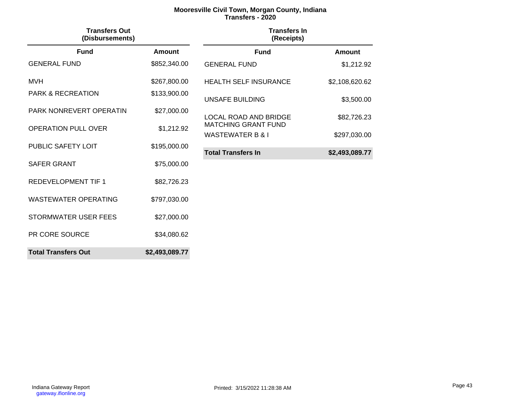# **Mooresville Civil Town, Morgan County, Indiana Transfers - 2020**

| <b>Transfers Out</b><br>(Disbursements) |                | <b>Transfers In</b><br>(Receipts) |                |
|-----------------------------------------|----------------|-----------------------------------|----------------|
| <b>Fund</b>                             | Amount         | <b>Fund</b>                       | <b>Amount</b>  |
| <b>GENERAL FUND</b>                     | \$852,340.00   | <b>GENERAL FUND</b>               | \$1,212.92     |
| <b>MVH</b>                              | \$267,800.00   | <b>HEALTH SELF INSURANCE</b>      | \$2,108,620.62 |
| <b>PARK &amp; RECREATION</b>            | \$133,900.00   | <b>UNSAFE BUILDING</b>            | \$3,500.00     |
| PARK NONREVERT OPERATIN                 | \$27,000.00    | <b>LOCAL ROAD AND BRIDGE</b>      | \$82,726.23    |
| <b>OPERATION PULL OVER</b>              | \$1,212.92     | <b>MATCHING GRANT FUND</b>        |                |
| PUBLIC SAFETY LOIT                      | \$195,000.00   | <b>WASTEWATER B &amp; I</b>       | \$297,030.00   |
|                                         |                | <b>Total Transfers In</b>         | \$2,493,089.77 |
| SAFER GRANT                             | \$75,000.00    |                                   |                |
| <b>REDEVELOPMENT TIF 1</b>              | \$82,726.23    |                                   |                |
| <b>WASTEWATER OPERATING</b>             | \$797,030.00   |                                   |                |
| STORMWATER USER FEES                    | \$27,000.00    |                                   |                |
| PR CORE SOURCE                          | \$34,080.62    |                                   |                |
| <b>Total Transfers Out</b>              | \$2,493,089.77 |                                   |                |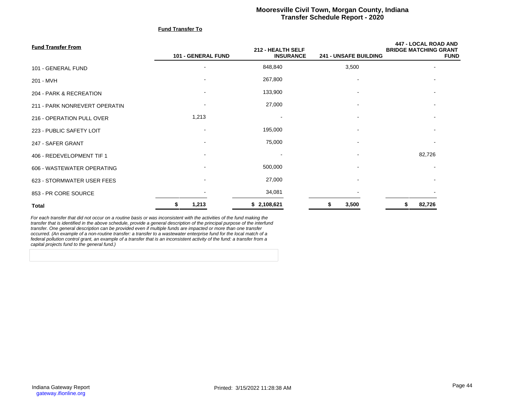# **Mooresville Civil Town, Morgan County, Indiana Transfer Schedule Report - 2020**

#### **Fund Transfer To**

| <b>Fund Transfer From</b>     |                          | 212 - HEALTH SELF |                              | <b>447 - LOCAL ROAD AND</b><br><b>BRIDGE MATCHING GRANT</b> |
|-------------------------------|--------------------------|-------------------|------------------------------|-------------------------------------------------------------|
|                               | 101 - GENERAL FUND       | <b>INSURANCE</b>  | <b>241 - UNSAFE BUILDING</b> | <b>FUND</b>                                                 |
| 101 - GENERAL FUND            | $\overline{\phantom{a}}$ | 848,840           | 3,500                        | $\overline{\phantom{a}}$                                    |
| 201 - MVH                     | $\overline{\phantom{a}}$ | 267,800           |                              | $\overline{\phantom{a}}$                                    |
| 204 - PARK & RECREATION       | $\overline{\phantom{a}}$ | 133,900           |                              | $\overline{\phantom{a}}$                                    |
| 211 - PARK NONREVERT OPERATIN |                          | 27,000            |                              |                                                             |
| 216 - OPERATION PULL OVER     | 1,213                    |                   |                              |                                                             |
| 223 - PUBLIC SAFETY LOIT      | $\overline{\phantom{a}}$ | 195,000           |                              |                                                             |
| 247 - SAFER GRANT             | $\overline{\phantom{a}}$ | 75,000            |                              |                                                             |
| 406 - REDEVELOPMENT TIF 1     | $\overline{\phantom{a}}$ |                   |                              | 82,726                                                      |
| 606 - WASTEWATER OPERATING    | $\overline{\phantom{a}}$ | 500,000           |                              |                                                             |
| 623 - STORMWATER USER FEES    | $\overline{\phantom{a}}$ | 27,000            |                              |                                                             |
| 853 - PR CORE SOURCE          |                          | 34,081            |                              |                                                             |
| <b>Total</b>                  | 1,213<br>S               | \$2,108,621       | 3,500<br>5                   | 82,726<br>S                                                 |

For each transfer that did not occur on a routine basis or was inconsistent with the activities of the fund making the transfer that is identified in the above schedule, provide a general description of the principal purpose of the interfund<br>transfer. One general description can be provided even if multiple funds are impacted or more than occurred. (An example of a non-routine transfer: a transfer to a wastewater enterprise fund for the local match of a<br>federal pollution control grant, an example of a transfer that is an inconsistent activity of the fund: a capital projects fund to the general fund.)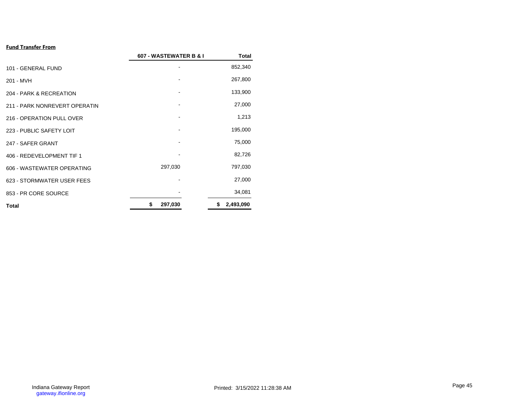# **Fund Transfer From**

|                               | 607 - WASTEWATER B & I | <b>Total</b>    |
|-------------------------------|------------------------|-----------------|
| 101 - GENERAL FUND            |                        | 852,340         |
| 201 - MVH                     |                        | 267,800         |
| 204 - PARK & RECREATION       |                        | 133,900         |
| 211 - PARK NONREVERT OPERATIN |                        | 27,000          |
| 216 - OPERATION PULL OVER     |                        | 1,213           |
| 223 - PUBLIC SAFETY LOIT      |                        | 195,000         |
| 247 - SAFER GRANT             |                        | 75,000          |
| 406 - REDEVELOPMENT TIF 1     |                        | 82,726          |
| 606 - WASTEWATER OPERATING    | 297,030                | 797,030         |
| 623 - STORMWATER USER FEES    |                        | 27,000          |
| 853 - PR CORE SOURCE          |                        | 34,081          |
| <b>Total</b>                  | 297,030<br>\$          | 2,493,090<br>\$ |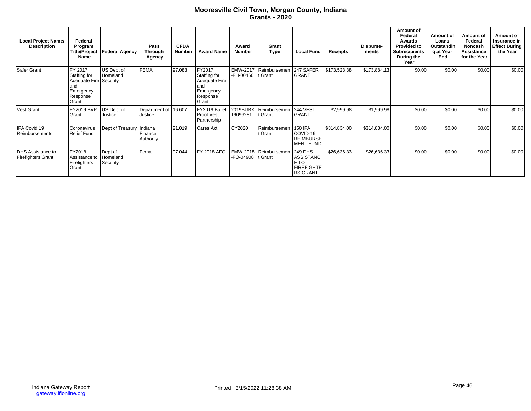# **Mooresville Civil Town, Morgan County, Indiana Grants - 2020**

| <b>Local Project Name/</b><br><b>Description</b> | Federal<br>Program<br><b>Title/Project</b><br><b>Name</b>                                   | <b>Federal Agency</b>    | Pass<br><b>Through</b><br>Agency | <b>CFDA</b><br><b>Number</b> | <b>Award Name</b>                                                                | Award<br><b>Number</b> | Grant<br><b>Type</b>              | <b>Local Fund</b>                                                           | Receipts     | Disburse-<br>ments | Amount of<br>Federal<br>Awards<br><b>Provided to</b><br><b>Subrecipients</b><br>During the<br>Year | Amount of<br>Loans<br>Outstandin<br>g at Year<br>End | Amount of<br>Federal<br>Noncash<br>Assistance<br>for the Year | Amount of<br>Insurance in<br>Effect During<br>the Year |
|--------------------------------------------------|---------------------------------------------------------------------------------------------|--------------------------|----------------------------------|------------------------------|----------------------------------------------------------------------------------|------------------------|-----------------------------------|-----------------------------------------------------------------------------|--------------|--------------------|----------------------------------------------------------------------------------------------------|------------------------------------------------------|---------------------------------------------------------------|--------------------------------------------------------|
| Safer Grant                                      | FY 2017<br>Staffing for<br>Adequate Fire Security<br>land<br>Emergency<br>Response<br>Grant | US Dept of<br>Homeland   | <b>FEMA</b>                      | 97.083                       | FY2017<br>Staffing for<br>Adequate Fire<br>and<br>Emergency<br>Response<br>Grant | -FH-00466              | EMW-2017 Reimbursemen<br>t Grant  | 247 SAFER<br><b>GRANT</b>                                                   | \$173,523.38 | \$173,884.13       | \$0.00                                                                                             | \$0.00                                               | \$0.00                                                        | \$0.00                                                 |
| Vest Grant                                       | FY2019 BVP<br>Grant                                                                         | US Dept of<br>Justice    | Department of 16.607<br>Justice  |                              | FY2019 Bullet<br>Proof Vest<br>Partnership                                       | 2019BUBX<br>19096281   | Reimbursemen<br>t Grant           | <b>244 VEST</b><br><b>GRANT</b>                                             | \$2,999.98   | \$1,999.98         | \$0.00                                                                                             | \$0.00                                               | \$0.00                                                        | \$0.00                                                 |
| IFA Covid 19<br>Reimbursements                   | Coronavirus<br><b>Relief Fund</b>                                                           | Dept of Treasury Indiana | Finance<br>Authority             | 21.019                       | Cares Act                                                                        | CY2020                 | Reimbursemen<br>t Grant           | <b>150 IFA</b><br>COVID-19<br><b>REIMBURSE</b><br><b>MENT FUND</b>          | \$314,834.00 | \$314,834.00       | \$0.00                                                                                             | \$0.00                                               | \$0.00                                                        | \$0.00                                                 |
| DHS Assistance to<br>Firefighters Grant          | FY2018<br>Assistance to Homeland<br>Firefighters<br>Grant                                   | Dept of<br>Security      | Fema                             | 97.044                       | FY 2018 AFG                                                                      | -FO-04908              | EMW-2018 Reimbursemen<br>It Grant | <b>249 DHS</b><br>ASSISTANC<br>E TO<br><b>FIREFIGHTE</b><br><b>RS GRANT</b> | \$26,636.33  | \$26,636.33        | \$0.00                                                                                             | \$0.00                                               | \$0.00                                                        | \$0.00                                                 |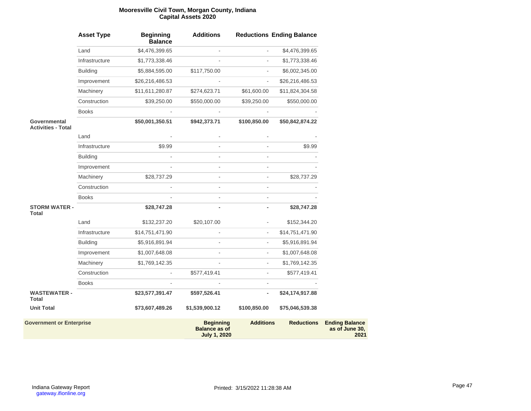#### **Mooresville Civil Town, Morgan County, Indiana Capital Assets 2020**

|                                                  | <b>Asset Type</b> | <b>Beginning</b><br><b>Balance</b> | <b>Additions</b>                         |                          | <b>Reductions Ending Balance</b> |                       |
|--------------------------------------------------|-------------------|------------------------------------|------------------------------------------|--------------------------|----------------------------------|-----------------------|
|                                                  | Land              | \$4,476,399.65                     |                                          |                          | \$4,476,399.65                   |                       |
|                                                  | Infrastructure    | \$1,773,338.46                     |                                          | $\blacksquare$           | \$1,773,338.46                   |                       |
|                                                  | <b>Building</b>   | \$5,884,595.00                     | \$117,750.00                             |                          | \$6,002,345.00                   |                       |
|                                                  | Improvement       | \$26,216,486.53                    |                                          | ÷,                       | \$26,216,486.53                  |                       |
|                                                  | Machinery         | \$11,611,280.87                    | \$274,623.71                             | \$61,600.00              | \$11,824,304.58                  |                       |
|                                                  | Construction      | \$39,250.00                        | \$550,000.00                             | \$39,250.00              | \$550,000.00                     |                       |
|                                                  | <b>Books</b>      |                                    |                                          | ä,                       |                                  |                       |
| <b>Governmental</b><br><b>Activities - Total</b> |                   | \$50,001,350.51                    | \$942,373.71                             | \$100,850.00             | \$50,842,874.22                  |                       |
|                                                  | Land              |                                    |                                          |                          |                                  |                       |
|                                                  | Infrastructure    | \$9.99                             |                                          |                          | \$9.99                           |                       |
|                                                  | <b>Building</b>   |                                    |                                          |                          |                                  |                       |
|                                                  | Improvement       |                                    |                                          |                          |                                  |                       |
|                                                  | Machinery         | \$28,737.29                        |                                          | $\overline{\phantom{a}}$ | \$28,737.29                      |                       |
|                                                  | Construction      |                                    |                                          | ÷,                       |                                  |                       |
|                                                  | <b>Books</b>      |                                    |                                          | $\overline{\phantom{a}}$ |                                  |                       |
| <b>STORM WATER -</b><br><b>Total</b>             |                   | \$28,747.28                        |                                          |                          | \$28,747.28                      |                       |
|                                                  | Land              | \$132,237.20                       | \$20,107.00                              |                          | \$152,344.20                     |                       |
|                                                  | Infrastructure    | \$14,751,471.90                    |                                          | $\blacksquare$           | \$14,751,471.90                  |                       |
|                                                  | <b>Building</b>   | \$5,916,891.94                     |                                          |                          | \$5,916,891.94                   |                       |
|                                                  | Improvement       | \$1,007,648.08                     |                                          | $\overline{\phantom{a}}$ | \$1,007,648.08                   |                       |
|                                                  | Machinery         | \$1,769,142.35                     |                                          | ä,                       | \$1,769,142.35                   |                       |
|                                                  | Construction      | ÷,                                 | \$577,419.41                             | ÷,                       | \$577,419.41                     |                       |
|                                                  | <b>Books</b>      |                                    |                                          | ä,                       |                                  |                       |
| <b>WASTEWATER -</b><br>Total                     |                   | \$23,577,391.47                    | \$597,526.41                             | $\overline{\phantom{0}}$ | \$24,174,917.88                  |                       |
| <b>Unit Total</b>                                |                   | \$73,607,489.26                    | \$1,539,900.12                           | \$100,850.00             | \$75,046,539.38                  |                       |
| <b>Government or Enterprise</b>                  |                   |                                    | <b>Beginning</b><br><b>Balance as of</b> | <b>Additions</b>         | <b>Reductions</b>                | <b>Ending Balance</b> |

**July 1, 2020**

**2021**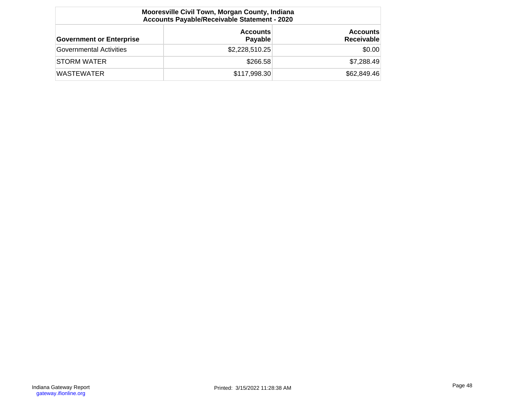| Mooresville Civil Town, Morgan County, Indiana<br>Accounts Payable/Receivable Statement - 2020 |                            |                                      |  |  |  |  |
|------------------------------------------------------------------------------------------------|----------------------------|--------------------------------------|--|--|--|--|
| <b>Government or Enterprise</b>                                                                | <b>Accounts</b><br>Payable | <b>Accounts</b><br><b>Receivable</b> |  |  |  |  |
| Governmental Activities                                                                        | \$2,228,510.25             | \$0.00                               |  |  |  |  |
| <b>STORM WATER</b>                                                                             | \$266.58                   | \$7,288.49                           |  |  |  |  |
| <b>WASTEWATER</b>                                                                              | \$117,998.30               | \$62,849.46                          |  |  |  |  |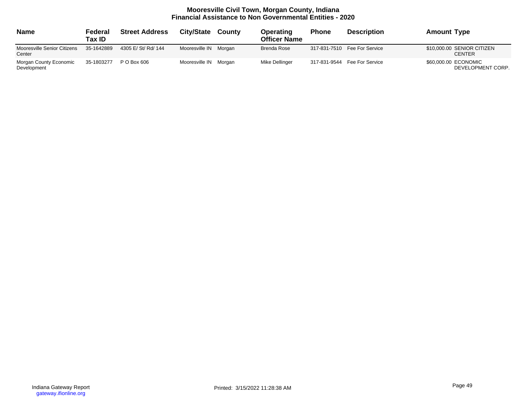# **Mooresville Civil Town, Morgan County, Indiana Financial Assistance to Non Governmental Entities - 2020**

| <b>Name</b>                           | Federal<br>Tax ID | <b>Street Address</b> | City/State            | County | Operating<br><b>Officer Name</b> | <b>Phone</b> | <b>Description</b>              | <b>Amount Type</b>                          |
|---------------------------------------|-------------------|-----------------------|-----------------------|--------|----------------------------------|--------------|---------------------------------|---------------------------------------------|
| Mooresville Senior Citizens<br>Center | 35-1642889        | 4305 E/ St/ Rd/ 144   | Mooresville IN Morgan |        | <b>Brenda Rose</b>               |              | 317-831-7510    Fee For Service | \$10,000.00 SENIOR CITIZEN<br><b>CENTER</b> |
| Morgan County Economic<br>Development | 35-1803277        | P O Box 606           | Mooresville IN Morgan |        | Mike Dellinger                   |              | 317-831-9544    Fee For Service | \$60,000.00 ECONOMIC<br>DEVELOPMENT CORP.   |